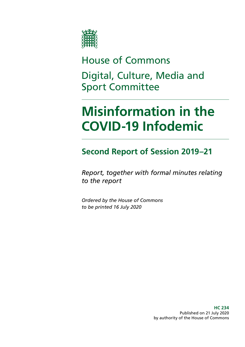

House of Commons Digital, Culture, Media and Sport Committee

# **Misinformation in the COVID-19 Infodemic**

# **Second Report of Session 2019–21**

*Report, together with formal minutes relating to the report*

*Ordered by the House of Commons to be printed 16 July 2020*

> **HC 234** Published on 21 July 2020 by authority of the House of Commons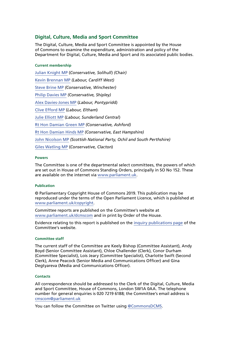### **Digital, Culture, Media and Sport Committee**

The Digital, Culture, Media and Sport Committee is appointed by the House of Commons to examine the expenditure, administration and policy of the Department for Digital, Culture, Media and Sport and its associated public bodies.

#### **Current membership**

[Julian Knight MP](https://www.parliament.uk/biographies/commons/julian-knight/4410) (*Conservative, Solihull*) *(Chair)* [Kevin Brennan MP](https://members.parliament.uk/member/1400/contact) *(Labour, Cardiff West)* [Steve Brine MP](https://members.parliament.uk/member/4067/contact) *(Conservative, Winchester)* [Philip Davies MP](https://members.parliament.uk/member/1565/contact) *(Conservative, Shipley)* [Alex Davies-Jones MP](https://members.parliament.uk/member/4849/contact) (*Labour, Pontyprid*d) [Clive Efford MP](https://www.parliament.uk/biographies/commons/clive-efford/165) (*Labour, Eltham*) [Julie Elliott MP](https://www.parliament.uk/biographies/commons/julie-elliott/4127) (*Labour, Sunderland Central*) [Rt Hon Damian Green MP](https://members.parliament.uk/member/76/contact) *(Conservative, Ashford)* [Rt Hon Damian Hinds MP](https://members.parliament.uk/member/3969/contact) *(Conservative, East Hampshire)* [John Nicolson MP](https://members.parliament.uk/member/4415/contact) *(Scottish National Party, Ochil and South Perthshire)* [Giles Watling MP](https://www.parliament.uk/biographies/commons/giles-watling/4677) (*Conservative, Clacton*)

#### **Powers**

The Committee is one of the departmental select committees, the powers of which are set out in House of Commons Standing Orders, principally in SO No 152. These are available on the internet via [www.parliament.uk.](https://www.parliament.uk/)

#### **Publication**

© Parliamentary Copyright House of Commons 2019. This publication may be reproduced under the terms of the Open Parliament Licence, which is published at [www.parliament.uk/copyright](https://www.parliament.uk/copyright).

Committee reports are published on the Committee's website at [www.parliament.uk/dcmscom](https://www.parliament.uk/business/committees/committees-a-z/commons-select/digital-culture-media-and-sport-committee/) and in print by Order of the House.

Evidence relating to this report is published on the [inquiry publications page](https://committees.parliament.uk/work/232/online-harms-and-disinformation/publications/) of the Committee's website.

#### **Committee staff**

The current staff of the Committee are Keely Bishop (Committee Assistant), Andy Boyd (Senior Committee Assistant), Chloe Challender (Clerk), Conor Durham (Committee Specialist), Lois Jeary (Committee Specialist), Charlotte Swift (Second Clerk), Anne Peacock (Senior Media and Communications Officer) and Gina Degtyareva (Media and Communications Officer).

#### **Contacts**

All correspondence should be addressed to the Clerk of the Digital, Culture, Media and Sport Committee, House of Commons, London SW1A 0AA. The telephone number for general enquiries is 020 7219 6188; the Committee's email address is [cmscom@parliament.uk](mailto:cmscom%40parliament.uk?subject=)

You can follow the Committee on Twitter using [@CommonsDCMS](https://twitter.com/CommonsDCMS).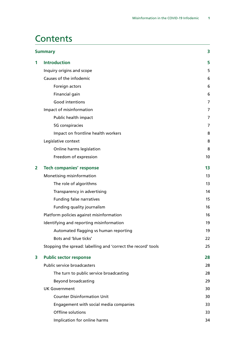# **Contents**

| <b>Summary</b> |                                                               | 3  |
|----------------|---------------------------------------------------------------|----|
| 1              | <b>Introduction</b>                                           | 5  |
|                | Inquiry origins and scope                                     | 5  |
|                | Causes of the infodemic                                       | 6  |
|                | Foreign actors                                                | 6  |
|                | Financial gain                                                | 6  |
|                | <b>Good intentions</b>                                        | 7  |
|                | Impact of misinformation                                      | 7  |
|                | Public health impact                                          | 7  |
|                | 5G conspiracies                                               | 7  |
|                | Impact on frontline health workers                            | 8  |
|                | Legislative context                                           | 8  |
|                | Online harms legislation                                      | 8  |
|                | Freedom of expression                                         | 10 |
| 2              | <b>Tech companies' response</b>                               | 13 |
|                | Monetising misinformation                                     | 13 |
|                | The role of algorithms                                        | 13 |
|                | Transparency in advertising                                   | 14 |
|                | <b>Funding false narratives</b>                               | 15 |
|                | Funding quality journalism                                    | 16 |
|                | Platform policies against misinformation                      | 16 |
|                | Identifying and reporting misinformation                      | 19 |
|                | Automated flagging vs human reporting                         | 19 |
|                | Bots and 'blue ticks'                                         | 22 |
|                | Stopping the spread: labelling and 'correct the record' tools | 25 |
| 3              | <b>Public sector response</b>                                 | 28 |
|                | <b>Public service broadcasters</b>                            | 28 |
|                | The turn to public service broadcasting                       | 28 |
|                | <b>Beyond broadcasting</b>                                    | 29 |
|                | <b>UK Government</b>                                          | 30 |
|                | <b>Counter Disinformation Unit</b>                            | 30 |
|                | Engagement with social media companies                        | 33 |
|                | Offline solutions                                             | 33 |
|                | Implication for online harms                                  | 34 |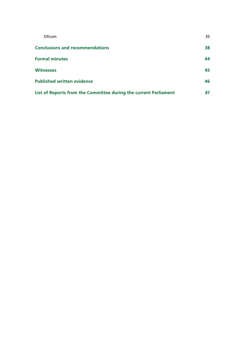| Ofcom                                                            | 35 |
|------------------------------------------------------------------|----|
| <b>Conclusions and recommendations</b>                           | 38 |
| <b>Formal minutes</b>                                            | 44 |
| <b>Witnesses</b>                                                 | 45 |
| <b>Published written evidence</b>                                | 46 |
| List of Reports from the Committee during the current Parliament | 47 |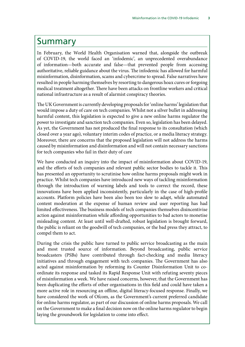# <span id="page-4-0"></span>Summary

In February, the World Health Organisation warned that, alongside the outbreak of COVID-19, the world faced an 'infodemic', an unprecedented overabundance of information—both accurate and false—that prevented people from accessing authoritative, reliable guidance about the virus. The infodemic has allowed for harmful misinformation, disinformation, scams and cybercrime to spread. False narratives have resulted in people harming themselves by resorting to dangerous hoax cures or forgoing medical treatment altogether. There have been attacks on frontline workers and critical national infrastructure as a result of alarmist conspiracy theories.

The UK Government is currently developing proposals for 'online harms' legislation that would impose a duty of care on tech companies. Whilst not a silver bullet in addressing harmful content, this legislation is expected to give a new online harms regulator the power to investigate and sanction tech companies. Even so, legislation has been delayed. As yet, the Government has not produced the final response to its consultation (which closed over a year ago), voluntary interim codes of practice, or a media literacy strategy. Moreover, there are concerns that the proposed legislation will not address the harms caused by misinformation and disinformation and will not contain necessary sanctions for tech companies who fail in their duty of care

We have conducted an inquiry into the impact of misinformation about COVID-19, and the efforts of tech companies and relevant public sector bodies to tackle it. This has presented an opportunity to scrutinise how online harms proposals might work in practice. Whilst tech companies have introduced new ways of tackling misinformation through the introduction of warning labels and tools to correct the record, these innovations have been applied inconsistently, particularly in the case of high-profile accounts. Platform policies have been also been too slow to adapt, while automated content moderation at the expense of human review and user reporting has had limited effectiveness. The business models of tech companies themselves disincentivise action against misinformation while affording opportunities to bad actors to monetise misleading content. At least until well-drafted, robust legislation is brought forward, the public is reliant on the goodwill of tech companies, or the bad press they attract, to compel them to act.

During the crisis the public have turned to public service broadcasting as the main and most trusted source of information. Beyond broadcasting, public service broadcasters (PSBs) have contributed through fact-checking and media literacy initiatives and through engagement with tech companies. The Government has also acted against misinformation by reforming its Counter Disinformation Unit to coordinate its response and tasked its Rapid Response Unit with refuting seventy pieces of misinformation a week. We have raised concerns, however, that the Government has been duplicating the efforts of other organisations in this field and could have taken a more active role in resourcing an offline, digital literacy-focused response. Finally, we have considered the work of Ofcom, as the Government's current preferred candidate for online harms regulator, as part of our discussion of online harms proposals. We call on the Government to make a final decision now on the online harms regulator to begin laying the groundwork for legislation to come into effect.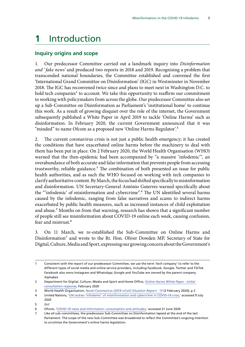# <span id="page-5-0"></span>**1** Introduction

#### **Inquiry origins and scope**

1. Our predecessor Committee carried out a landmark inquiry into *Disinformation and ' fake news'* and produced two reports in 2018 and 2019. Recognising a problem that transcended national boundaries, the Committee established and convened the first 'International Grand Committee on Disinformation' (IGC) in Westminster in November 2018. The IGC has reconvened twice since and plans to meet next in Washington D.C. to hold tech companies<sup>1</sup> to account. We take this opportunity to reaffirm our commitment to working with policymakers from across the globe. Our predecessor Committee also set up a Sub-Committee on Disinformation as Parliament's 'institutional home' to continue this work. As a result of growing disquiet over the role of the internet, the Government subsequently published a White Paper in April 2019 to tackle 'Online Harms' such as disinformation. In February 2020, the current Government announced that it was "minded" to name Ofcom as a proposed new 'Online Harms Regulator'.<sup>2</sup>

2. The current coronavirus crisis is not just a public health emergency; it has created the conditions that have exacerbated online harms before the machinery to deal with them has been put in place. On 2 February 2020, the World Health Organisation (WHO) warned that the then-epidemic had been accompanied by "a massive 'infodemic'", an overabundance of both accurate and false information that prevents people from accessing trustworthy, reliable guidance.<sup>3</sup> The combination of both presented an issue for public health authorities, and as such the WHO focused on working with tech companies to clarify authoritative content. By March, the focus had shifted specifically to misinformation and disinformation. UN Secretary-General António Guterres warned specifically about the "'infodemic' of misinformation and cybercrime".4 The UN identified several harms caused by the infodemic, ranging from false narratives and scams to indirect harms exacerbated by public health measures, such as increased instances of child exploitation and abuse.<sup>5</sup> Months on from that warning, research has shown that a significant number of people still see misinformation about COVID-19 online each week, causing confusion, fear and mistrust.6

3. On 11 March, we re-established the Sub-Committee on Online Harms and Disinformation<sup>7</sup> and wrote to the Rt. Hon. Oliver Dowden MP, Secretary of State for Digital, Culture, Media and Sport, expressing our growing concern about the Government's

Consistent with the report of our predecessor Committee, we use the term 'tech company' to refer to the different types of social media and online service providers, including Facebook, Google, Twitter and TikTok. Facebook also owns Instagram and WhatsApp; Google and YouTube are owned by the parent company Alphabet.

<sup>2</sup> Department for Digital, Culture, Media and Sport and Home Office, *[Online Harms White Paper - Initial](https://www.gov.uk/government/consultations/online-harms-white-paper/public-feedback/online-harms-white-paper-initial-consultation-response)  [consultation response](https://www.gov.uk/government/consultations/online-harms-white-paper/public-feedback/online-harms-white-paper-initial-consultation-response)*, February 2020

<sup>3</sup> World Health Organisation, *[Novel Coronavirus \(2019-nCoV\) Situation Report - 13](https://apps.who.int/iris/bitstream/handle/10665/330778/nCoVsitrep02Feb2020-eng.pdf?sequence=1&isAllowed=y)* (2 February 2020), p 2

<sup>4</sup> United Nations, '[UN tackles 'infodemic' of misinformation and cybercrime in COVID-19 crisis](https://www.un.org/en/un-coronavirus-communications-team/un-tackling-‘infodemic’-misinformation-and-cybercrime-covid-19),' accessed 9 July 2020

<sup>5</sup> *Ibid*

<sup>6</sup> Ofcom, '[COVID-19 news and information: consumption and attitudes](https://www.ofcom.org.uk/research-and-data/tv-radio-and-on-demand/news-media/coronavirus-news-consumption-attitudes-behaviour),' accessed 21 June 2020

<sup>7</sup> Like all sub-committees, the predecessor Sub-Committee on Disinformation lapsed at the end of the last Parliament. The scope of the new Sub-Committee was broadened to reflect the Committee's ongoing intention to scrutinise the Government's online harms legislation.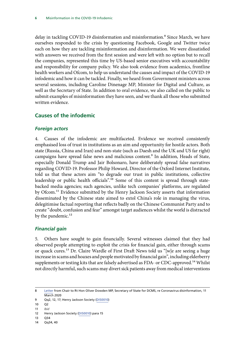<span id="page-6-0"></span>delay in tackling COVID-19 disinformation and misinformation.<sup>8</sup> Since March, we have ourselves responded to the crisis by questioning Facebook, Google and Twitter twice each on how they are tackling misinformation and disinformation. We were dissatisfied with answers we received from the first session and were left with no option but to recall the companies, represented this time by US-based senior executives with accountability and responsibility for company policy. We also took evidence from academics, frontline health workers and Ofcom, to help us understand the causes and impact of the COVID-19 infodemic and how it can be tackled. Finally, we heard from Government ministers across several sessions, including Caroline Dinenage MP, Minister for Digital and Culture, as well as the Secretary of State. In addition to oral evidence, we also called on the public to submit examples of misinformation they have seen, and we thank all those who submitted written evidence.

# **Causes of the infodemic**

### *Foreign actors*

4. Causes of the infodemic are multifaceted. Evidence we received consistently emphasised loss of trust in institutions as an aim and opportunity for hostile actors. Both state (Russia, China and Iran) and non-state (such as Daesh and the UK and US far right) campaigns have spread false news and malicious content.<sup>9</sup> In addition, Heads of State, especially Donald Trump and Jair Bolsonaro, have deliberately spread false narratives regarding COVID-19. Professor Philip Howard, Director of the Oxford Internet Institute, told us that these actors aim "to degrade our trust in public institutions, collective leadership or public health officials".<sup>10</sup> Some of this content is spread through statebacked media agencies; such agencies, unlike tech companies' platforms, are regulated by Ofcom.<sup>11</sup> Evidence submitted by the Henry Jackson Society asserts that information disseminated by the Chinese state aimed to extol China's role in managing the virus, delegitimise factual reporting that reflects badly on the Chinese Communist Party and to create "doubt, confusion and fear" amongst target audiences whilst the world is distracted by the pandemic.<sup>12</sup>

# *Financial gain*

5. Others have sought to gain financially. Several witnesses claimed that they had observed people attempting to exploit the crisis for financial gain, either through scams or quack cures.<sup>13</sup> Dr. Claire Wardle of First Draft News told us "[w]e are seeing a huge increase in scams and hoaxes and people motivated by financial gain", including elderberry supplements or testing kits that are falsely advertised as FDA- or CDC-approved.<sup>14</sup> Whilst not directly harmful, such scams may divert sick patients away from medical interventions

- 11 *Ibid*
- 12 Henry Jackson Society [\(DIS0010\)](https://committees.parliament.uk/writtenevidence/2112/pdf/) para 15
- 13 Q34
- 14 Qq34, 40

<sup>8</sup> [Letter](https://publications.parliament.uk/pa/cm5801/cmselect/cmcumeds/correspondence/200311-coronavirus.pdf) from Chair to Rt Hon Oliver Dowden MP, Secretary of State for DCMS, re Coronavirus disinformation, 11 **March 2020** 

<sup>9</sup> Qq2, 12, 17; Henry Jackson Society ([DIS0010](https://committees.parliament.uk/writtenevidence/2112/pdf/))

<sup>10</sup> Q2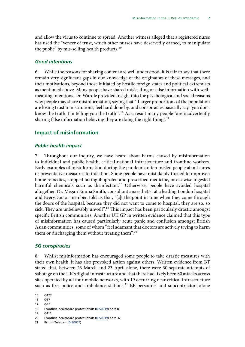<span id="page-7-0"></span>and allow the virus to continue to spread. Another witness alleged that a registered nurse has used the "veneer of trust, which other nurses have deservedly earned, to manipulate the public" by mis-selling health products.<sup>15</sup>

#### *Good intentions*

6. While the reasons for sharing content are well understood, it is fair to say that there remain very significant gaps in our knowledge of the originators of these messages, and their motivations, beyond those initiated by hostile foreign states and political extremists as mentioned above. Many people have shared misleading or false information with wellmeaning intentions. Dr. Wardle provided insight into the psychological and social reasons why people may share misinformation, saying that "[l]arger proportions of the population are losing trust in institutions, feel hard done by, and conspiracies basically say, 'you don't know the truth. I'm telling you the truth'".16 As a result many people "are inadvertently sharing false information believing they are doing the right thing".<sup>17</sup>

#### **Impact of misinformation**

#### *Public health impact*

7. Throughout our inquiry, we have heard about harms caused by misinformation to individual and public health, critical national infrastructure and frontline workers. Early examples of misinformation during the pandemic often misled people about cures or preventative measures to infection. Some people have mistakenly turned to unproven home remedies, stopped taking ibuprofen and prescribed medicine, or elsewise ingested harmful chemicals such as disinfectant.<sup>18</sup> Otherwise, people have avoided hospital altogether. Dr. Megan Emma Smith, consultant anaesthetist at a leading London hospital and EveryDoctor member, told us that, "[a]t the point in time when they come through the doors of the hospital, because they did not want to come to hospital, they are so, so sick. They are unbelievably unwell".<sup>19</sup> This impact has been particularly drastic amongst specific British communities. Another UK GP in written evidence claimed that this type of misinformation has caused particularly acute panic and confusion amongst British Asian communities, some of whom "feel adamant that doctors are actively trying to harm them or discharging them without treating them".<sup>20</sup>

#### *5G conspiracies*

8. Whilst misinformation has encouraged some people to take drastic measures with their own health, it has also provoked action against others. Written evidence from BT stated that, between 23 March and 23 April alone, there were 30 separate attempts of sabotage on the UK's digital infrastructure and that there had likely been 80 attacks across sites operated by all four mobile networks, with 19 occurring near critical infrastructure such as fire, police and ambulance stations. $21$  EE personnel and subcontractors alone

<sup>15</sup> Q127

<sup>16</sup> Q37

<sup>17</sup> Q46

<sup>18</sup> Frontline healthcare professionals ([DIS0019](https://committees.parliament.uk/writtenevidence/6062/pdf/)) para 8

<sup>19</sup> Q116

<sup>20</sup> Frontline healthcare professionals ([DIS0019](https://committees.parliament.uk/writtenevidence/6062/pdf/)) para 32

<sup>21</sup> British Telecom ([DIS0017\)](https://committees.parliament.uk/writtenevidence/2896/pdf/)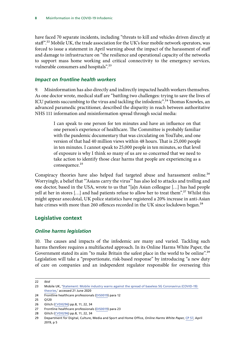<span id="page-8-0"></span>have faced 70 separate incidents, including "threats to kill and vehicles driven directly at staff".22 Mobile UK, the trade association for the UK's four mobile network operators, was forced to issue a statement in April warning about the impact of the harassment of staff and damage to infrastructure on "the resilience and operational capacity of the networks to support mass home working and critical connectivity to the emergency services, vulnerable consumers and hospitals".23

#### *Impact on frontline health workers*

9. Misinformation has also directly and indirectly impacted health workers themselves. As one doctor wrote, medical staff are "battling two challenges: trying to save the lives of ICU patients succumbing to the virus and tackling the infodemic".<sup>24</sup> Thomas Knowles, an advanced paramedic practitioner, described the disparity in reach between authoritative NHS 111 information and misinformation spread through social media:

> I can speak to one person for ten minutes and have an influence on that one person's experience of healthcare. The Committee is probably familiar with the pandemic documentary that was circulating on YouTube, and one version of that had 40 million views within 48 hours. That is 25,000 people in ten minutes. I cannot speak to 25,000 people in ten minutes, so that level of exposure is why I think so many of us are so concerned that we need to take action to identify those clear harms that people are experiencing as a consequence.<sup>25</sup>

Conspiracy theories have also helped fuel targeted abuse and harassment online.<sup>26</sup> Worryingly, a belief that "'Asians carry the virus'" has also led to attacks and trolling and one doctor, based in the USA, wrote to us that "[a]n Asian colleague […] has had people yell at her in stores [...] and had patients refuse to allow her to treat them".<sup>27</sup> Whilst this might appear anecdotal, UK police statistics have registered a 20% increase in anti-Asian hate crimes with more than 260 offences recorded in the UK since lockdown began.<sup>28</sup>

# **Legislative context**

### *Online harms legislation*

10. The causes and impacts of the infodemic are many and varied. Tackling such harms therefore requires a multifaceted approach. In its Online Harms White Paper, the Government stated its aim "to make Britain the safest place in the world to be online".<sup>29</sup> Legislation will take a "proportionate, risk-based response" by introducing "a new duty of care on companies and an independent regulator responsible for overseeing this

<sup>22</sup> *Ibid*

<sup>23</sup> Mobile UK, 'Statement: Mobile industry warns against the spread of baseless 5G Coronavirus (COVID-19) [theories](https://www.mobileuk.org/news/statement-mobile-industry-warns-against-the-spread-of-baseless-5g-coronavirus-covid-19-theories),' accessed 21 June 2020

<sup>24</sup> Frontline healthcare professionals ([DIS0019](https://committees.parliament.uk/writtenevidence/6062/pdf/)) para 12

<sup>25</sup> Q120

<sup>26</sup> Glitch [\(CVD0296](https://committees.parliament.uk/writtenevidence/6398/pdf/)) pp.8, 11, 22, 34

<sup>27</sup> Frontline healthcare professionals ([DIS0019](https://committees.parliament.uk/writtenevidence/6062/pdf/)) para 23

<sup>28</sup> Glitch [\(CVD0296](https://committees.parliament.uk/writtenevidence/6398/pdf/)) pp.8, 11, 22, 34

<sup>29</sup> Department for Digital, Culture, Media and Sport and Home Office, *Online Harms White Paper*, [CP 57,](https://assets.publishing.service.gov.uk/government/uploads/system/uploads/attachment_data/file/793360/Online_Harms_White_Paper.pdf) April 2019, p 5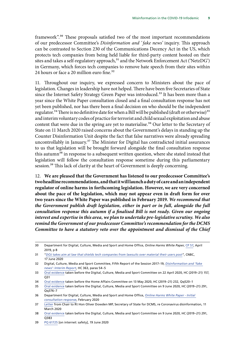framework".30 These proposals satisfied two of the most important recommendations of our predecessor Committee's *Disinformation and ' fake news'* inquiry. This approach can be contrasted to Section 230 of the Communications Decency Act in the US, which protects tech companies from being held liable for third-party content hosted on their sites and takes a self-regulatory approach, $31$  and the Network Enforcement Act ('NetzDG') in Germany, which forces tech companies to remove hate speech from their sites within 24 hours or face a 20 million euro fine.<sup>32</sup>

11. Throughout our inquiry, we expressed concern to Ministers about the pace of legislation. Changes in leadership have not helped. There have been five Secretaries of State since the Internet Safety Strategy Green Paper was introduced.<sup>33</sup> It has been more than a year since the White Paper consultation closed and a final consultation response has not yet been published, nor has there been a final decision on who should be the independent regulator.<sup>34</sup> There is no definitive date for when a Bill will be published (draft or otherwise)<sup>35</sup> and interim voluntary codes of practice for terrorist and child sexual exploitation and abuse content that were due in the spring are yet to materialise.<sup>36</sup> Our letter to the Secretary of State on 11 March 2020 raised concerns about the Government's delays in standing up the Counter Disinformation Unit despite the fact that false narratives were already spreading uncontrollably in January.<sup>37</sup> The Minister for Digital has contradicted initial assurances to us that legislation will be brought forward alongside the final consultation response this autumn<sup>38</sup> in response to a subsequent written question, where she stated instead that legislation will follow the consultation response sometime during this parliamentary session.<sup>39</sup> This lack of clarity at the heart of Government is deeply concerning.

12. **We are pleased that the Government has listened to our predecessor Committee's two headline recommendations, and that it will launch a duty of care and an independent regulator of online harms in forthcoming legislation. However, we are very concerned about the pace of the legislation, which may not appear even in draft form for over two years since the White Paper was published in February 2019.** *We recommend that the Government publish draft legislation, either in part or in full, alongside the full consultation response this autumn if a finalised Bill is not ready. Given our ongoing interest and expertise in this area, we plan to undertake pre-legislative scrutiny. We also remind the Government of our predecessor Committee's recommendation for the DCMS Committee to have a statutory veto over the appointment and dismissal of the Chief* 

<sup>30</sup> Department for Digital, Culture, Media and Sport and Home Office, *Online Harms White Paper*, [CP 57,](https://assets.publishing.service.gov.uk/government/uploads/system/uploads/attachment_data/file/793360/Online_Harms_White_Paper.pdf) April 2019, p 8

<sup>31</sup> "*[DOJ takes aim at law that shields tech companies from lawsuits over material their users post](https://www.cnbc.com/2020/06/17/doj-takes-aim-at-section-230-tech-liability-shield.html)*", CNBC, 17 June 2020

<sup>32</sup> Digital, Culture, Media and Sport Committee, Fifth Report of the Session 2017–19, *[Disinformation and 'fake](https://publications.parliament.uk/pa/cm201719/cmselect/cmcumeds/363/363.pdf) [news': Interim Report](https://publications.parliament.uk/pa/cm201719/cmselect/cmcumeds/363/363.pdf)*, HC 363, paras 54–5

<sup>33</sup> [Oral evidence](https://committees.parliament.uk/oralevidence/300/pdf/) taken before the Digital, Culture, Media and Sport Committee on 22 April 2020, HC (2019–21) 157, Q31

<sup>34</sup> [Oral evidence](https://committees.parliament.uk/oralevidence/359/default/) taken before the Home Affairs Committee on 13 May 2020, HC (2019–21) 232, Qq520–1

<sup>35</sup> [Oral evidence](https://committees.parliament.uk/oralevidence/478/pdf/) taken before the Digital, Culture, Media and Sport Committee on 9 June 2020, HC (2019–21) 291, Qq376–7

<sup>36</sup> Department for Digital, Culture, Media and Sport and Home Office, *[Online Harms White Paper - Initial](https://www.gov.uk/government/consultations/online-harms-white-paper/public-feedback/online-harms-white-paper-initial-consultation-response)  [consultation response](https://www.gov.uk/government/consultations/online-harms-white-paper/public-feedback/online-harms-white-paper-initial-consultation-response)*, February 2020

<sup>37</sup> [Letter](https://publications.parliament.uk/pa/cm5801/cmselect/cmcumeds/correspondence/200311-coronavirus.pdf) from Chair to Rt Hon Oliver Dowden MP, Secretary of State for DCMS, re Coronavirus disinformation, 11 **March 2020** 

<sup>38</sup> [Oral evidence](https://committees.parliament.uk/oralevidence/478/pdf/) taken before the Digital, Culture, Media and Sport Committee on 9 June 2020, HC (2019–21) 291, Q383

<sup>39</sup> PQ [61725](https://www.parliament.uk/business/publications/written-questions-answers-statements/written-question/Commons/2020-06-19/61724/) [on internet: safety], 19 June 2020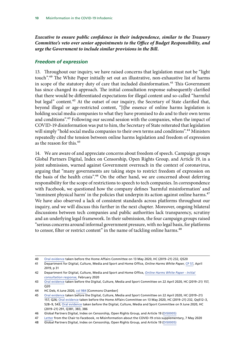<span id="page-10-0"></span>*Executive to ensure public confidence in their independence, similar to the Treasury Committee's veto over senior appointments to the Office of Budget Responsibility, and urge the Government to include similar provisions in the Bill.*

#### *Freedom of expression*

13. Throughout our inquiry, we have raised concerns that legislation must not be "light touch".40 The White Paper initially set out an illustrative, non-exhaustive list of harms in scope of the statutory duty of care that included disinformation.<sup>41</sup> This Government has since changed its approach. The initial consultation response subsequently clarified that there would be differentiated expectations for illegal content and so-called "harmful but legal" content.<sup>42</sup> At the outset of our inquiry, the Secretary of State clarified that, beyond illegal or age-restricted content, "[t]he essence of online harms legislation is holding social media companies to what they have promised to do and to their own terms and conditions".43 Following our second session with the companies, when the impact of COVID-19 disinformation was put to him, the Secretary of State reiterated that legislation will simply "hold social media companies to their own terms and conditions".<sup>44</sup> Ministers repeatedly cited the tension between online harms legislation and freedom of expression as the reason for this.45

14. We are aware of and appreciate concerns about freedom of speech. Campaign groups Global Partners Digital, Index on Censorship, Open Rights Group, and Article 19, in a joint submission, warned against Government overreach in the context of coronavirus, arguing that "many governments are taking steps to restrict freedom of expression on the basis of the health crisis".<sup>46</sup> On the other hand, we are concerned about deferring responsibility for the scope of restrictions to speech to tech companies. In correspondence with Facebook, we questioned how the company defines 'harmful misinformation' and 'imminent physical harm' in the policies that underpin its action against online harms.<sup>47</sup> We have also observed a lack of consistent standards across platforms throughout our inquiry, and we will discuss this further in the next chapter. Moreover, ongoing bilateral discussions between tech companies and public authorities lack transparency, scrutiny and an underlying legal framework. In their submission, the four campaign groups raised "serious concerns around informal government pressure, with no legal basis, for platforms to censor, filter or restrict content" in the name of tackling online harms.<sup>48</sup>

<sup>40</sup> [Oral evidence](https://committees.parliament.uk/oralevidence/359/default/) taken before the Home Affairs Committee on 13 May 2020, HC (2019–21) 232, Q520

<sup>41</sup> Department for Digital, Culture, Media and Sport and Home Office, *Online Harms White Paper*, [CP 57,](https://assets.publishing.service.gov.uk/government/uploads/system/uploads/attachment_data/file/793360/Online_Harms_White_Paper.pdf) April 2019, p 31

<sup>42</sup> Department for Digital, Culture, Media and Sport and Home Office, *[Online Harms White Paper - Initial](https://www.gov.uk/government/consultations/online-harms-white-paper/public-feedback/online-harms-white-paper-initial-consultation-response)  [consultation response](https://www.gov.uk/government/consultations/online-harms-white-paper/public-feedback/online-harms-white-paper-initial-consultation-response),* February 2020

<sup>43</sup> [Oral evidence](https://committees.parliament.uk/oralevidence/300/pdf/) taken before the Digital, Culture, Media and Sport Committee on 22 April 2020, HC (2019–21) 157, Q20

<sup>44</sup> HC Deb, 4 June 2020, [col 984](https://hansard.parliament.uk/Commons/2020-06-04/debates/B9C47789-67AA-4EDB-990D-06FD202EC558/OnlineHarms) [Commons Chamber]

<sup>45</sup> [Oral evidence](https://committees.parliament.uk/oralevidence/300/pdf/) taken before the Digital, Culture, Media and Sport Committee on 22 April 2020, HC (2019–21) 157, Q26; [Oral evidence](https://committees.parliament.uk/oralevidence/359/default/) taken before the Home Affairs Committee on 13 May 2020, HC (2019–21) 232, Qq512–3, 528–9, 543; [Oral evidence](https://committees.parliament.uk/oralevidence/478/pdf/) taken before the Digital, Culture, Media and Sport Committee on 9 June 2020, HC (2019–21) 291, Q381, 383, 386

<sup>46</sup> Global Partners Digital, Index on Censorship, Open Rights Group, and Article 19 ([DIS0005](https://committees.parliament.uk/writtenevidence/2059/pdf/))

<sup>47</sup> [Letter](https://committees.parliament.uk/publications/1170/documents/10103/default/) from the Chair to Facebook, re Misinformation about the COVID-19 crisis supplementary, 7 May 2020

<sup>48</sup> Global Partners Digital, Index on Censorship, Open Rights Group, and Article 19 ([DIS0](https://committees.parliament.uk/writtenevidence/2059/pdf/)005)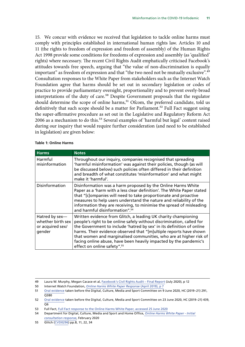15. We concur with evidence we received that legislation to tackle online harms must comply with principles established in international human rights law. Articles 10 and 11 (the rights to freedom of expression and freedom of assembly) of the Human Rights Act 1998 provide some conditions for freedoms of expression and assembly (as 'qualified' rights) where necessary. The recent Civil Rights Audit emphatically criticised Facebook's attitudes towards free speech, arguing that "the value of non-discrimination is equally important" as freedom of expression and that "the two need not be mutually exclusive".<sup>49</sup> Consultation responses to the White Paper from stakeholders such as the Internet Watch Foundation agree that harms should be set out in secondary legislation or codes of practice to provide parliamentary oversight, proportionality and to prevent overly-broad interpretations of the duty of care.<sup>50</sup> Despite Government proposals that the regulator should determine the scope of online harms,<sup>51</sup> Ofcom, the preferred candidate, told us definitively that such scope should be a matter for Parliament.<sup>52</sup> Full Fact suggest using the super-affirmative procedure as set out in the Legislative and Regulatory Reform Act 2006 as a mechanism to do this.<sup>53</sup> Several examples of 'harmful but legal' content raised during our inquiry that would require further consideration (and need to be established in legislation) are given below:

| <b>Harms</b>                                                      | <b>Notes</b>                                                                                                                                                                                                                                                                                                                                                                                                                                                                 |
|-------------------------------------------------------------------|------------------------------------------------------------------------------------------------------------------------------------------------------------------------------------------------------------------------------------------------------------------------------------------------------------------------------------------------------------------------------------------------------------------------------------------------------------------------------|
| Harmful<br>misinformation                                         | Throughout our inquiry, companies recognised that spreading<br>'harmful misinformation' was against their policies, though (as will<br>be discussed below) such policies often differed in their definition<br>and breadth of what constitutes 'misinformation' and what might<br>make it 'harmful'.                                                                                                                                                                         |
| Disinformation                                                    | Disinformation was a harm proposed by the Online Harms White<br>Paper as a 'harm with a less clear definition'. The White Paper stated<br>that "[c]ompanies will need to take proportionate and proactive<br>measures to help users understand the nature and reliability of the<br>information they are receiving, to minimise the spread of misleading<br>and harmful disinformation". <sup>54</sup>                                                                       |
| Hatred by sex-<br>whether birth sex<br>or acquired sex/<br>gender | Written evidence from Glitch, a leading UK charity championing<br>people's right to be online safely without discrimination, called for<br>the Government to include 'hatred by sex' in its definition of online<br>harms. Their evidence observed that "[m]ultiple reports have shown<br>that women and marginalised communities, who are at higher risk of<br>facing online abuse, have been heavily impacted by the pandemic's<br>effect on online safety". <sup>55</sup> |

#### **Table 1: Online Harms**

<sup>49</sup> Laura W. Murphy, Megan Cacace et al, [Facebook's Civil Rights Audit – Final Report](https://about.fb.com/wp-content/uploads/2020/07/Civil-Rights-Audit-Final-Report.pdf) (July 2020), p 12

<sup>50</sup> Internet Watch Foundation, *[Online Harms White Paper Response](https://www.iwf.org.uk/sites/default/files/inline-files/IWF%20Online%20Harms%20White%20Paper%20Response_0.pdf)* (April 2019), p 7

<sup>51</sup> [Oral evidence](https://committees.parliament.uk/oralevidence/478/pdf/) taken before the Digital, Culture, Media and Sport Committee on 9 June 2020, HC (2019–21) 291, Q380

<sup>52</sup> [Oral evidence](https://committees.parliament.uk/oralevidence/556/pdf/) taken before the Digital, Culture, Media and Sport Committee on 23 June 2020, HC (2019–21) 439, Q6

<sup>53</sup> Full Fact, [Full Fact response to the Online Harms White Paper,](https://fullfact.org/media/uploads/full_fact_response___dcms_online_harms_white_paper.pdf) accessed 25 June 2020

<sup>54</sup> Department for Digital, Culture, Media and Sport and Home Office, *[Online Harms White Paper - Initial](https://www.gov.uk/government/consultations/online-harms-white-paper/public-feedback/online-harms-white-paper-initial-consultation-response)  [consultation response](https://www.gov.uk/government/consultations/online-harms-white-paper/public-feedback/online-harms-white-paper-initial-consultation-response)*, February 2020

<sup>55</sup> Glitch [\(CVD0296](https://committees.parliament.uk/writtenevidence/6398/pdf/)) pp.8, 11, 22, 34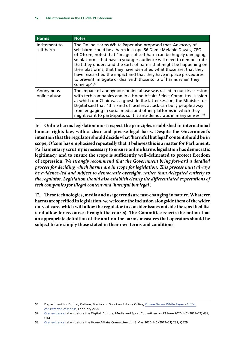| <b>Harms</b>               | <b>Notes</b>                                                                                                                                                                                                                                                                                                                                                                                                                                                                                                                                                                    |
|----------------------------|---------------------------------------------------------------------------------------------------------------------------------------------------------------------------------------------------------------------------------------------------------------------------------------------------------------------------------------------------------------------------------------------------------------------------------------------------------------------------------------------------------------------------------------------------------------------------------|
| Incitement to<br>self-harm | The Online Harms White Paper also proposed that 'Advocacy of<br>self-harm' could be a harm in scope.56 Dame Melanie Dawes, CEO<br>of Ofcom, noted that "images of self-harm can be hugely damaging,<br>so platforms that have a younger audience will need to demonstrate<br>that they understand the sorts of harms that might be happening on<br>their platforms, that they have identified what those are, that they<br>have researched the impact and that they have in place procedures<br>to prevent, mitigate or deal with those sorts of harms when they<br>come up".57 |
| Anonymous<br>online abuse  | The impact of anonymous online abuse was raised in our first session<br>with tech companies and in a Home Affairs Select Committee session<br>at which our Chair was a quest. In the latter session, the Minister for<br>Digital said that "this kind of faceless attack can bully people away<br>from engaging in social media and other platforms in which they<br>might want to participate, so it is anti-democratic in many senses". <sup>58</sup>                                                                                                                         |

16. **Online harms legislation must respect the principles established in international human rights law, with a clear and precise legal basis. Despite the Government's intention that the regulator should decide what 'harmful but legal' content should be in scope, Ofcom has emphasised repeatedly that it believes this is a matter for Parliament. Parliamentary scrutiny is necessary to ensure online harms legislation has democratic legitimacy, and to ensure the scope is sufficiently well-delineated to protect freedom of expression.** *We strongly recommend that the Government bring forward a detailed process for deciding which harms are in scope for legislation. This process must always be evidence-led and subject to democratic oversight, rather than delegated entirely to the regulator. Legislation should also establish clearly the differentiated expectations of tech companies for illegal content and 'harmful but legal'.*

17. **These technologies, media and usage trends are fast-changing in nature. Whatever harms are specified in legislation, we welcome the inclusion alongside them of the wider duty of care, which will allow the regulator to consider issues outside the specified list (and allow for recourse through the courts). The Committee rejects the notion that an appropriate definition of the anti-online harms measures that operators should be subject to are simply those stated in their own terms and conditions.**

<sup>56</sup> Department for Digital, Culture, Media and Sport and Home Office, *[Online Harms White Paper - Initial](https://www.gov.uk/government/consultations/online-harms-white-paper/public-feedback/online-harms-white-paper-initial-consultation-response)  [consultation response](https://www.gov.uk/government/consultations/online-harms-white-paper/public-feedback/online-harms-white-paper-initial-consultation-response)*, February 2020

<sup>57</sup> [Oral evidence](https://committees.parliament.uk/oralevidence/556/pdf/) taken before the Digital, Culture, Media and Sport Committee on 23 June 2020, HC (2019–21) 439, O<sub>14</sub>

<sup>58</sup> [Oral evidence](https://committees.parliament.uk/oralevidence/359/default/) taken before the Home Affairs Committee on 13 May 2020, HC (2019–21) 232, Q529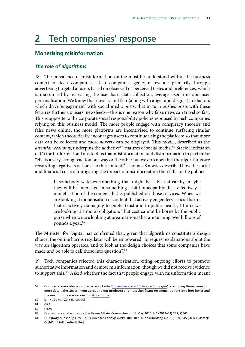# <span id="page-13-0"></span>**2** Tech companies' response

#### **Monetising misinformation**

#### *The role of algorithms*

18. The prevalence of misinformation online must be understood within the business context of tech companies. Tech companies generate revenue primarily through advertising targeted at users based on observed or perceived tastes and preferences, which is maximised by increasing the user base, data collection, average user time and user personalisation. We know that novelty and fear (along with anger and disgust) are factors which drive 'engagement' with social media posts; that in turn pushes posts with these features further up users' newsfeeds—this is one reason why false news can travel so fast. This is opposite to the corporate social responsibility policies espoused by tech companies relying on this business model. The more people engage with conspiracy theories and false news online, the more platforms are incentivised to continue surfacing similar content, which theoretically encourages users to continue using the platform so that more data can be collected and more adverts can be displayed. This model, described as the attention economy, underpins the addictive<sup>59</sup> features of social media.<sup>60</sup> Stacie Hoffmann of Oxford Information Labs told us that misinformation and disinformation in particular "elicits a very strong reaction one way or the other but we do know that the algorithms are rewarding negative reactions" to this content.<sup>61</sup> Thomas Knowles described how the social and financial costs of mitigating the impact of misinformation then falls to the public:

> If somebody watches something that might be a bit flat-earthy, maybe they will be interested in something a bit homeopathic. It is effectively a monetisation of the content that is published on those services. When we are looking at monetisation of content that actively engenders a social harm, that is actively damaging to public trust and to public health, I think we are looking at a moral obligation. That cost cannot be borne by the public purse when we are looking at organisations that are turning over billions of pounds a year.<sup>62</sup>

The Minister for Digital has confirmed that, given that algorithms constitute a design choice, the online harms regulator will be empowered "to request explanations about the way an algorithm operates, and to look at the design choices that some companies have made and be able to call those into question".<sup>63</sup>

19. Tech companies rejected this characterisation, citing ongoing efforts to promote authoritative information and demote misinformation, though we did not receive evidence to support this.<sup>64</sup> Asked whether the fact that people engage with misinformation meant

61 Q29

62 Q128

<sup>59</sup> Our predecessor also published a report into '*[Immersive and addictive technologies](https://publications.parliament.uk/pa/cm201719/cmselect/cmcumeds/1846/1846.pdf)*', examining these issues in more detail; the Government agreed to our predecessor's most significant recommendations into loot boxes and the need for greater research in [its response](https://assets.publishing.service.gov.uk/government/uploads/system/uploads/attachment_data/file/890734/CCS207_CCS0520664408-001_Gov_Resp_DCMS_Committee_Report_CP_241_Web_Accessible__1___1_.pdf).

<sup>60</sup> Dr. Nejra van Zalk [\(DIS0020](https://committees.parliament.uk/writtenevidence/7990/pdf/))

<sup>63</sup> [Oral evidence](https://committees.parliament.uk/oralevidence/359/default/) taken before the Home Affairs Committee on 13 May 2020, HC (2019–21) 232, Q561

<sup>64</sup> Q67 [Katy Minshall]; Qq91–2, 94 [Richard Earley]; Qq99–100, 109 [Alina Dimofte]; Qq135, 139, 145 [Derek Slater]; Qq141, 147–8 [Leslie Miller]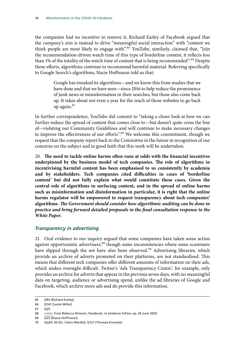<span id="page-14-0"></span>the companies had no incentive to remove it, Richard Earley of Facebook argued that the company's aim is instead to drive "meaningful social interaction" with "content we think people are most likely to engage with".<sup>65</sup> YouTube, similarly, claimed that, " $\lceil o \rceil n$ the recommendation-driven watch time of this type of borderline content, it reflects less than 1% of the totality of the watch time of content that is being recommended".<sup>66</sup> Despite these efforts, algorithms continue to recommend harmful material. Referring specifically to Google Search's algorithms, Stacie Hoffmann told us that:

> Google has tweaked its algorithms—and we know this from studies that we have done and that we have seen—since 2016 to help reduce the prominence of junk news or misinformation in their searches, but those also come back up. It takes about not even a year for the reach of those websites to go back up again.67

In further correspondence, YouTube did commit to "taking a closer look at how we can further reduce the spread of content that comes close to—but doesn't quite cross the line of—violating our Community Guidelines and will continue to make necessary changes to improve the effectiveness of our efforts".<sup>68</sup> We welcome this commitment, though we request that the company report back to the Committee in the future in recognition of our concerns on the subject and in good faith that this work will be undertaken.

20. **The need to tackle online harms often runs at odds with the financial incentives underpinned by the business model of tech companies. The role of algorithms in incentivising harmful content has been emphasised to us consistently by academia and by stakeholders. Tech companies cited difficulties in cases of 'borderline content' but did not fully explain what would constitute these cases. Given the central role of algorithms in surfacing content, and in the spread of online harms such as misinformation and disinformation in particular, it is right that the online harms regulator will be empowered to request transparency about tech companies' algorithms.** *The Government should consider how algorithmic auditing can be done in practice and bring forward detailed proposals in the final consultation response to the White Paper.*

### *Transparency in advertising*

21. Oral evidence to our inquiry argued that some companies have taken some action against opportunistic advertisers,<sup>69</sup> though some inconsistencies where some scammers have slipped through the net have also been observed.<sup>70</sup> Advertising libraries, which provide an archive of adverts promoted on their platforms, are not standardised. This means that different tech companies offer different amounts of information on their ads, which makes oversight difficult. Twitter's 'Ads Transparency Centre', for example, only provides an archive for adverts that appear in the previous seven days, with no meaningful data on targeting, audience or advertising spend, unlike the ad libraries of Google and Facebook, which archive more ads and do provide this information.

67 Q25

<sup>65</sup> Q92 [Richard Earley]

<sup>66</sup> Q141 [Leslie Miller]

<sup>68</sup> [Letter](https://committees.parliament.uk/publications/1883/documents/18414/default/) from Rebecca Stimson, Facebook, re evidence follow-up, 26 June 2020

<sup>69</sup> Q22 [Stacie Hoffmann]

<sup>70</sup> Qq34, 40 [Dr. Claire Wardle]; Q127 [Thomas Knowles]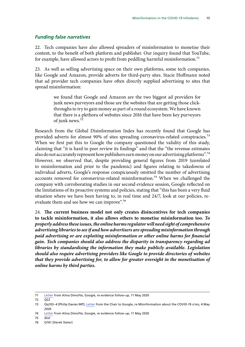### <span id="page-15-0"></span>*Funding false narratives*

22. Tech companies have also allowed spreaders of misinformation to monetise their content, to the benefit of both platform and publisher. Our inquiry found that YouTube, for example, have allowed actors to profit from peddling harmful misinformation.<sup>71</sup>

23. As well as selling advertising space on their own platforms, some tech companies, like Google and Amazon, provide adverts for third-party sites. Stacie Hoffmann noted that ad provider tech companies have often directly supplied advertising to sites that spread misinformation:

> we found that Google and Amazon are the two biggest ad providers for junk news purveyors and those are the websites that are getting those clickthroughs to try to gain money as part of a round ecosystem. We have known that there is a plethora of websites since 2016 that have been key purveyors of junk news.72

Research from the Global Disinformation Index has recently found that Google has provided adverts for almost 90% of sites spreading coronavirus-related conspiracies.<sup>73</sup> When we first put this to Google the company questioned the validity of this study, claiming that "it is hard to peer review its findings" and that the "the revenue estimates also do not accurately represent how publishers earn money on our advertising platforms".<sup>74</sup> However, we observed that, despite providing general figures from 2019 (unrelated to misinformation and prior to the pandemic) and figures relating to takedowns of individual adverts, Google's response conspicuously omitted the number of advertising accounts removed for coronavirus-related misinformation.<sup>75</sup> When we challenged the company with corroborating studies in our second evidence session, Google reflected on the limitations of its proactive systems and policies, stating that "this has been a very fluid situation where we have been having to, in real time and 24/7, look at our policies, reevaluate them and see how we can improve".<sup>76</sup>

24. **The current business model not only creates disincentives for tech companies to tackle misinformation, it also allows others to monetise misinformation too.** *To properly address these issues, the online harms regulator will need sight of comprehensive advertising libraries to see if and how advertisers are spreading misinformation through paid advertising or are exploiting misinformation or other online harms for financial gain. Tech companies should also address the disparity in transparency regarding ad libraries by standardising the information they make publicly available. Legislation should also require advertising providers like Google to provide directories of websites that they provide advertising for, to allow for greater oversight in the monetisation of online harms by third parties.*

<sup>71</sup> [Letter](https://committees.parliament.uk/publications/1171/documents/10104/default/) from Alina Dimofte, Google, re evidence follow-up, 11 May 2020

<sup>72</sup> Q22

<sup>73</sup> Qq103–4 [Philip Davies MP]; [Letter](https://committees.parliament.uk/publications/925/documents/6893/default/) from the Chair to Google, re Misinformation about the COVID-19 crisis, 4 May 2020

<sup>74</sup> [Letter](https://committees.parliament.uk/publications/1171/documents/10104/default/) from Alina Dimofte, Google, re evidence follow-up, 11 May 2020

<sup>75</sup> *Ibid*

<sup>76</sup> Q161 [Derek Slater]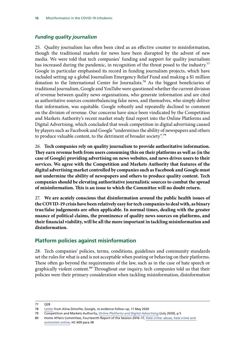# <span id="page-16-0"></span>*Funding quality journalism*

25. Quality journalism has often been cited as an effective counter to misinformation, though the traditional markets for news have been disrupted by the advent of new media. We were told that tech companies' funding and support for quality journalism has increased during the pandemic, in recognition of the threat posed to the industry.<sup>77</sup> Google in particular emphasised its record in funding journalism projects, which have included setting up a global Journalism Emergency Relief Fund and making a \$1 million donation to the International Center for Journalists.<sup>78</sup> As the biggest beneficiaries of traditional journalism, Google and YouTube were questioned whether the current division of revenue between quality news organisations, who generate information and are cited as authoritative sources counterbalancing false news, and themselves, who simply deliver that information, was equitable. Google robustly and repeatedly declined to comment on the division of revenue. Our concerns have since been vindicated by the Competition and Markets Authority's recent market study final report into the Online Platforms and Digital Advertising, which concluded that weak competition in digital advertising caused by players such as Facebook and Google "undermines the ability of newspapers and others to produce valuable content, to the detriment of broader society".79

26. **Tech companies rely on quality journalism to provide authoritative information. They earn revenue both from users consuming this on their platforms as well as (in the case of Google) providing advertising on news websites, and news drives users to their services. We agree with the Competition and Markets Authority that features of the digital advertising market controlled by companies such as Facebook and Google must not undermine the ability of newspapers and others to produce quality content. Tech companies should be elevating authoritative journalistic sources to combat the spread of misinformation. This is an issue to which the Committee will no doubt return.**

27. **We are acutely conscious that disinformation around the public health issues of the COVID-19 crisis have been relatively easy for tech companies to deal with, as binary true/false judgements are often applicable. In normal times, dealing with the greater nuance of political claims, the prominence of quality news sources on platforms, and their financial viability, will be all the more important in tackling misinformation and disinformation.**

# **Platform policies against misinformation**

28. Tech companies' policies, terms, conditions, guidelines and community standards set the rules for what is and is not acceptable when posting or behaving on their platforms. These often go beyond the requirements of the law, such as in the case of hate speech or graphically violent content.<sup>80</sup> Throughout our inquiry, tech companies told us that their policies were their primary consideration when tackling misinformation, disinformation

<sup>77</sup> Q28

<sup>78</sup> [Letter](https://committees.parliament.uk/publications/1171/documents/10104/default/) from Alina Dimofte, Google, re evidence follow-up, 11 May 2020

<sup>79</sup> Competition and Markets Authority, *[Online Platforms and Digital Advertising](https://assets.publishing.service.gov.uk/media/5efc57ed3a6f4023d242ed56/Final_report_1_July_2020_.pdf)* (July 2020), p 5

<sup>80</sup> Home Affairs Committee, Fourteenth Report of the Session 2016–17, *[Hate crime: abuse, hate crime and](https://publications.parliament.uk/pa/cm201617/cmselect/cmhaff/609/609.pdf)  [extremism online](https://publications.parliament.uk/pa/cm201617/cmselect/cmhaff/609/609.pdf)*, HC 609 para 38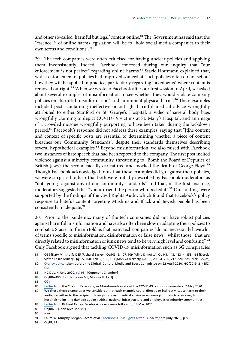and other so-called 'harmful but legal' content online.<sup>81</sup> The Government has said that the "essence"82 of online harms legislation will be to "hold social media companies to their own terms and conditions<sup>"83</sup>

29. The tech companies were often criticised for having unclear policies and applying them inconsistently. Indeed, Facebook conceded during our inquiry that "our enforcement is not perfect" regarding online harms.<sup>84</sup> Stacie Hoffmann explained that, whilst enforcement of policies had improved somewhat, such policies often do not set out how they will be applied in practice, particularly regarding 'takedowns', where content is removed outright.<sup>85</sup> When we wrote to Facebook after our first session in April, we asked about several examples of misinformation to see whether they would violate company policies on "harmful misinformation" and "imminent physical harm".<sup>86</sup> These examples included posts containing ineffective or outright harmful medical advice wrongfully attributed to either Stanford or St. George's Hospital, a video of several body bags wrongfully claiming to depict COVID-19 victims at St. Mary's Hospital, and an image of a crowded mosque wrongfully purporting to have been taken during the lockdown period.87 Facebook's response did not address these examples, saying that "[t]he content and context of specific posts are essential to determining whether a piece of content breaches our Community Standards", despite their standards themselves describing several hypothetical examples.<sup>88</sup> Beyond misinformation, we also raised with Facebook two instances of hate speech that had been reported to the company. The first post incited violence against a minority community, threatening to "Bomb the Board of Deputies of British Jews"; the second racially caricatured and mocked the death of George Floyd.<sup>89</sup> Though Facebook acknowledged to us that these examples did go against their policies, we were surprised to hear that both were initially described by Facebook moderators as "not [going] against any of our community standards" and that, in the first instance, moderators suggested that "you unfriend the person who posted it".90 Our findings were supported by the findings of the Civil Rights Audit, which found that Facebook's policy response to hateful content targeting Muslims and Black and Jewish people has been consistently inadequate.<sup>91</sup>

30. Prior to the pandemic, many of the tech companies did not have robust policies against harmful misinformation and have also often been slow in adapting their policies to combat it. Stacie Hoffmann told us that many tech companies "do not necessarily have a lot of terms specific to misinformation, disinformation or false news", whilst those "that are directly related to misinformation or junk news tend to be very high level and confusing".<sup>92</sup> Only Facebook argued that tackling COVID-19 misinformation such as 5G conspiracies

<sup>81</sup> Q69 [Katy Minshall]; Q85 [Richard Earley]; Qq103–5, 107, 109 [Alina Dimofte]; Qq141, 143, 153–4, 158–161 [Derek Slater, Leslie Miller]; Qq165, 168, 170–2, 183, 191 [Monika Bickert]; Qq198, 203–4, 206, 217, 220, 225 [Nick Pickles] 82 [Oral evidence](https://committees.parliament.uk/oralevidence/300/pdf/) taken before the Digital, Culture, Media and Sport Committee on 22 April 2020, HC (2019–21) 157,

 $Q20$ 83 HC Deb, 4 June 2020, [col 984](https://hansard.parliament.uk/Commons/2020-06-04/debates/B9C47789-67AA-4EDB-990D-06FD202EC558/OnlineHarms) [Commons Chamber]

<sup>84</sup> Qq186–190 [John Nicolson MP, Monika Bickert]

<sup>85</sup> Q21

<sup>86</sup> [Letter](https://committees.parliament.uk/publications/1170/documents/10103/default/) from the Chair to Facebook, re Misinformation about the COVID-19 crisis supplementary, 7 May 2020

<sup>87</sup> We chose these examples as we considered that each example could, directly or indirectly, cause harm to their audience, either to the recipient through incorrect medical advice or encouraging them to stay away from hospitals to inciting damage against critical national infrastructure and employees or minority communities.

<sup>88</sup> [Letter](https://committees.parliament.uk/publications/1173/documents/10106/default/) from Richard Earley, Facebook, re evidence follow-up, 14 May 2020

<sup>89</sup> Qq186–9 [John Nicolson MP]

<sup>90</sup> *Ibid*

<sup>91</sup> Laura W. Murphy, Megan Cacace *et al*, *[Facebook's Civil Rights Audit – Final Report](https://about.fb.com/wp-content/uploads/2020/07/Civil-Rights-Audit-Final-Report.pdf)* (July 2020), p 8

<sup>92</sup> Qq18, 21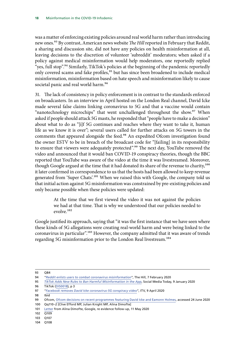was a matter of enforcing existing policies around real world harm rather than introducing new ones.93 By contrast, American news website *The Hill* reported in February that Reddit, a sharing and discussion site, did not have any policies on health misinformation at all, leaving decisions to the discretion of volunteer 'subreddit' moderators; when asked if a policy against medical misinformation would help moderators, one reportedly replied "yes, full stop".<sup>94</sup> Similarly, TikTok's policies at the beginning of the pandemic reportedly only covered scams and fake profiles,<sup>95</sup> but has since been broadened to include medical misinformation, misinformation based on hate speech and misinformation likely to cause societal panic and real world harm.<sup>96</sup>

31. The lack of consistency in policy enforcement is in contrast to the standards enforced on broadcasters. In an interview in April hosted on the London Real channel, David Icke made several false claims linking coronavirus to 5G and that a vaccine would contain "nanotechnology microchips" that went unchallenged throughout the show.<sup>97</sup> When asked if people should attack 5G masts, he responded that "people have to make a decision" about what to do as "[i]f 5G continues and reaches where they want to take it, human life as we know it is over"; several users called for further attacks on 5G towers in the comments that appeared alongside the feed.<sup>98</sup> An expedited Ofcom investigation found the owner ESTV to be in breach of the broadcast code for "[failing] in its responsibility to ensure that viewers were adequately protected".<sup>99</sup> The next day, YouTube removed the video and announced that it would ban COVID-19 conspiracy theories, though the BBC reported that YouTube was aware of the video at the time it was livestreamed. Moreover, though Google argued at the time that it had donated its share of the revenue to charity,<sup>100</sup> it later confirmed in correspondence to us that the hosts had been allowed to keep revenue generated from 'Super Chats'.<sup>101</sup> When we raised this with Google, the company told us that initial action against 5G misinformation was constrained by pre-existing policies and only became possible when these policies were updated:

> At the time that we first viewed the video it was not against the policies we had at that time. That is why we understood that our policies needed to evolve.102

Google justified its approach, saying that "it was the first instance that we have seen where these kinds of 5G allegations were creating real-world harm and were being linked to the coronavirus in particular".<sup>103</sup> However, the company admitted that it was aware of trends regarding 5G misinformation prior to the London Real livestream.104

104 Q108

<sup>93</sup> Q84

<sup>94</sup> "*[Reddit enlists users to combat coronavirus misinformation](https://thehill.com/policy/technology/481956-reddit-enlists-users-to-combat-coronavirus-misinformation)*", The Hill, 7 February 2020

<sup>95</sup> *[TikTok Adds New Rules to Ban Harmful Misinformation in the App](https://www.socialmediatoday.com/news/tiktok-adds-new-rules-to-ban-harmful-misinformation-in-the-app/570064/)*, Social Media Today, 9 January 2020

<sup>96</sup> TikTok ([DIS0018](https://committees.parliament.uk/writtenevidence/5174/pdf/)), p 3

<sup>97</sup> "*[Facebook removes David Icke coronavirus-5G conspiracy video](https://www.itv.com/news/2020-04-09/facebook-removes-david-icke-coronavirus-5g-conspiracy-video/)*", ITV, 9 April 2020

<sup>98</sup> Ibid

<sup>99</sup> Ofcom, [Ofcom decisions on recent programmes featuring David Icke and Eamonn Holmes](https://www.ofcom.org.uk/about-ofcom/latest/features-and-news/david-icke-and-eamonn-holmes-decision), accessed 24 June 2020

<sup>100</sup> Qq110–2 [Clive Efford MP, Julian Knight MP, Alina Dimofte]

<sup>101</sup> [Letter](https://committees.parliament.uk/publications/1171/documents/10104/default/) from Alina Dimofte, Google, re evidence follow-up, 11 May 2020

<sup>102</sup> Q109

<sup>103</sup> Q107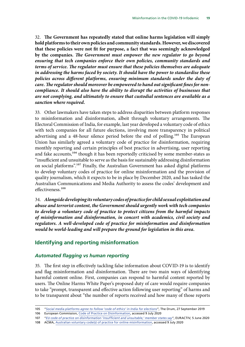<span id="page-19-0"></span>32. **The Government has repeatedly stated that online harms legislation will simply hold platforms to their own policies and community standards. However, we discovered that these policies were not fit for purpose, a fact that was seemingly acknowledged by the companies.** *The Government must empower the new regulator to go beyond ensuring that tech companies enforce their own policies, community standards and terms of service. The regulator must ensure that these policies themselves are adequate in addressing the harms faced by society. It should have the power to standardise these policies across different platforms, ensuring minimum standards under the duty of care. The regulator should moreover be empowered to hand out significant fines for noncompliance. It should also have the ability to disrupt the activities of businesses that are not complying, and ultimately to ensure that custodial sentences are available as a sanction where required.*

33. Other lawmakers have taken steps to address disparities between platform responses to misinformation and disinformation, albeit through voluntary arrangements. The Electoral Commission of India, for example, last year developed a voluntary code of ethics with tech companies for all future elections, involving more transparency in political advertising and a 48-hour silence period before the end of polling.<sup>105</sup> The European Union has similarly agreed a voluntary code of practice for disinformation, requiring monthly reporting and certain principles of best practice in advertising, user reporting and fake accounts,<sup>106</sup> though it has been reportedly criticised by some member-states as "insufficient and unsuitable to serve as the basis for sustainably addressing disinformation on social platforms".107 Finally, the Australian Government has asked digital platforms to develop voluntary codes of practice for online misinformation and the provision of quality journalism, which it expects to be in place by December 2020, and has tasked the Australian Communications and Media Authority to assess the codes' development and effectiveness.108

34. *Alongside developing its voluntary codes of practice for child sexual exploitation and abuse and terrorist content, the Government should urgently work with tech companies to develop a voluntary code of practice to protect citizens from the harmful impacts of misinformation and disinformation, in concert with academics, civil society and regulators. A well-developed code of practice for misinformation and disinformation would be world-leading and will prepare the ground for legislation in this area.*

### **Identifying and reporting misinformation**

#### *Automated flagging vs human reporting*

35. The first step in effectively tackling false information about COVID-19 is to identify and flag misinformation and disinformation. There are two main ways of identifying harmful content online. First, companies can respond to harmful content reported by users. The Online Harms White Paper's proposed duty of care would require companies to take "prompt, transparent and effective action following user reporting" of harms and to be transparent about "the number of reports received and how many of those reports

<sup>105</sup> "*[Social media platforms agree to follow 'code of ethics' in India for elections](https://www.thedrum.com/news/2019/09/27/social-media-platforms-agree-follow-code-ethics-india-elections)*", The Drum, 27 September 2019

<sup>106</sup> European Commission, [Code of Practice on Disinformation](https://ec.europa.eu/digital-single-market/en/news/code-practice-disinformation), accessed 9 July 2020

<sup>107</sup> "*[EU code of practice on disinformation 'insufficient and unsuitable,' member states say](https://www.euractiv.com/section/digital/news/eu-code-of-practice-on-disinformation-insufficient-and-unsuitable-member-states-say/)*", EURACTIV, 5 June 2020

<sup>108</sup> ACMA, [Australian voluntary code\(s\) of practice for online misinformation,](https://www.acma.gov.au/australian-voluntary-codes-practice-online-misinformation) accessed 9 July 2020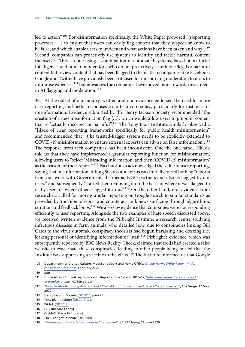led to action".109 For disinformation specifically, the White Paper proposed "[r]eporting processes […] to ensure that users can easily flag content that they suspect or know to be false, and which enable users to understand what actions have been taken and why".<sup>110</sup> Second, companies can proactively use systems to identify and tackle harmful content themselves. This is done using a combination of automated systems, based on artificial intelligence, and human moderators, who do not proactively search for illegal or harmful content but review content that has been flagged to them. Tech companies like Facebook, Google and Twitter have previously been criticised for outsourcing moderation to users to minimise expenses,<sup>111</sup> but nowadays the companies have moved more towards investment in AI flagging and moderation.<sup>112</sup>

36. At the outset of our inquiry, written and oral evidence endorsed the need for more user reporting and better responses from tech companies, particularly for instances of misinformation. Evidence submitted by the Henry Jackson Society recommended "the creation of a new misinformation flag […], which would allow users to pinpoint content that is factually incorrect or harmful".<sup>113</sup> The Tony Blair Institute similarly observed a "[l]ack of clear reporting frameworks specifically for public health misinformation" and recommended that "[t]he trusted-flagger system needs to be explicitly extended to COVID-19 misinformation to ensure external experts can advise on false information".114 The response from tech companies has been inconsistent. One the one hand, TikTok told us that they have implemented a granular reporting function for misinformation, allowing users to "select 'Misleading information' and then 'COVID-19 misinformation' as the reason for their report".115 Facebook also acknowledged the value of user reporting, saying that misinformation linking 5G to coronavirus was initially raised both by "reports from our work with Government, the media, NGO partners and also as flagged by our users" and subsequently "started then removing it on the basis of where it was flagged to us by users or where others flagged it to us".<sup>116</sup> On the other hand, oral evidence from researchers called for more granular reporting on Google Search to similar standards as provided by YouTube to report and counteract junk news surfacing through algorithmic curation and feedback loops.<sup>117</sup> We also saw evidence that companies were not responding efficiently to user reporting. Alongside the two examples of hate speech discussed above, we received written evidence from the Pirbright Institute, a research centre studying infectious diseases in farm animals, who detailed how, due to conspiracies linking Bill Gates to the virus outbreak, conspiracy theorists had begun harassing and doxxing (i.e. leaking personal or identifying information of) staff.<sup>118</sup> Pirbright's evidence, which was subsequently reported by BBC News Reality Check, claimed that trolls had created a false website to exacerbate these conspiracies, leading to other people being misled that the Institute was suppressing a vaccine to the virus.<sup>119</sup> The Institute informed us that Google

<sup>109</sup> Department for Digital, Culture, Media and Sport and Home Office, *[Online Harms White Paper - Initial](https://www.gov.uk/government/consultations/online-harms-white-paper/public-feedback/online-harms-white-paper-initial-consultation-response)  [consultation response](https://www.gov.uk/government/consultations/online-harms-white-paper/public-feedback/online-harms-white-paper-initial-consultation-response)*, February 2020

<sup>110</sup> *Ibid*

<sup>111</sup> Home Affairs Committee, Fourteenth Report of the Session 2016–17, *[Hate crime: abuse, hate crime and](https://publications.parliament.uk/pa/cm201617/cmselect/cmhaff/609/609.pdf)  [extremism online](https://publications.parliament.uk/pa/cm201617/cmselect/cmhaff/609/609.pdf)*, HC 609 para 31

<sup>112</sup> "*[How Facebook is using AI to combat COVID-19 misinformation and detect 'hateful memes'](https://www.theverge.com/2020/5/12/21254960/facebook-ai-moderation-covid-19-coronavirus-hateful-memes-hate-speech)*", The Verge, 12 May 2020

<sup>113</sup> Henry Jackson Society [\(DIS0010\)](https://committees.parliament.uk/writtenevidence/2112/pdf/) para 26

<sup>114</sup> Tony Blair Institute ([DIS0013\)](https://committees.parliament.uk/writtenevidence/2160/pdf/) p 3

<sup>115</sup> TikTok ([DIS0018](https://committees.parliament.uk/writtenevidence/5174/pdf/))

<sup>116</sup> Q85 [Richard Earley]

<sup>117</sup> Qq24–5 [Stacie Hoffmann]

<sup>118</sup> The Pirbright Institute [\(DIS0009\)](https://committees.parliament.uk/writtenevidence/2109/default/)

<sup>119</sup> *"[Coronavirus: How a false rumour led to hate online"](https://www.bbc.co.uk/news/53061563)*, BBC News, 19 June 2020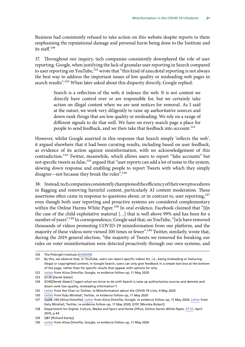Business had consistently refused to take action on this website despite reports to them emphasising the reputational damage and personal harm being done to the Institute and its staff<sup>120</sup>

37. Throughout our inquiry, tech companies consistently downplayed the role of user reporting. Google, when justifying the lack of granular user reporting in Search compared to user reporting on YouTube,<sup>121</sup> wrote that "this kind of anecdotal reporting is not always the best way to address the important issues of low quality or misleading web pages in search results".<sup>122</sup> When later asked about this disparity directly, Google replied:

> Search is a reflection of the web; it indexes the web. It is not content we directly have control over or are responsible for, but we certainly take action on illegal content when we are sent notices for removal. As I said at the outset, we work very diligently to raise up authoritative sources and down-rank things that are low quality or misleading. We rely on a range of different signals to do that well. We have on every search page a place for people to send feedback, and we then take that feedback into account.123

However, whilst Google asserted in this response that Search simply 'reflects the web', it argued elsewhere that it had been curating results, including based on user feedback, as evidence of its action against misinformation, with no acknowledgement of this contradiction.124 Twitter, meanwhile, which allows users to report "fake accounts" but not specific tweets as false,<sup>125</sup> argued that "user reports can add a lot of noise to the system, slowing down response and enabling people to report Tweets with which they simply disagree—not because they break the rules".126

38. Instead, tech companies consistently championed the efficiency of their own procedures in flagging and removing harmful content, particularly AI content moderation. These assertions often came in response to questions about, or in contrast to, user reporting, $127$ even though both user reporting and proactive systems are considered complementary within the Online Harms White Paper.<sup>128</sup> In oral evidence, Facebook claimed that "[i]n the case of the child exploitative material […] that is well above 99% and has been for a number of years".<sup>129</sup> In correspondence, Google said that, on YouTube, "[w]e have removed thousands of videos promoting COVID-19 misinformation from our platform, and the majority of these videos were viewed 100 times or fewer".<sup>130</sup> Twitter, similarly, wrote that, during the 2019 general election, "the majority of Tweets we removed for breaking our rules on voter misinformation were detected proactively through our own systems, and

<sup>120</sup> The Pirbright Institute [\(DIS0009\)](https://committees.parliament.uk/writtenevidence/2109/default/)

<sup>121</sup> By this, we observe that, in YouTube, users can report specific videos for, i.e., being misleading or featuring illegal or copyrighted content; in Google Search, users can only give feedback in a simple text box at the bottom of the page, rather than for specific results that appear with options for why.

<sup>122</sup> [Letter](https://committees.parliament.uk/publications/1171/documents/10104/default/) from Alina Dimofte, Google, re evidence follow-up, 11 May 2020

<sup>123</sup> Q139 [Derek Slater]

<sup>124</sup> Q145[Derek Slater] ("again what we strive to do with Search is raise up authoritative sources and demote and down-rank low-quality, misleading information")

<sup>125</sup> [Letter](https://committees.parliament.uk/publications/926/documents/6894/default/) from the Chair to Twitter, re Misinformation about the COVID-19 crisis, 4 May 2020

<sup>126</sup> [Letter](https://committees.parliament.uk/publications/1172/documents/10105/default/) from Katy Minshall, Twitter, re evidence follow-up, 11 May 2020

<sup>127</sup> Qq98–100 [Alina Dimofte]; [Letter](https://committees.parliament.uk/publications/1171/documents/10104/default/) from Alina Dimofte, Google, re evidence follow-up, 11 May 2020; [Letter](https://committees.parliament.uk/publications/1172/documents/10105/default/) from Katy Minshall, Twitter, re evidence follow-up, 11 May 2020; Q191 [Monika Bickert]

<sup>128</sup> Department for Digital, Culture, Media and Sport and Home Office, *Online Harms White Paper*, [CP 57,](https://assets.publishing.service.gov.uk/government/uploads/system/uploads/attachment_data/file/793360/Online_Harms_White_Paper.pdf) April 2019, p 44

<sup>129</sup> Q87 [Richard Earley]

<sup>130</sup> [Letter](https://committees.parliament.uk/publications/1171/documents/10104/default/) from Alina Dimofte, Google, re evidence follow-up, 11 May 2020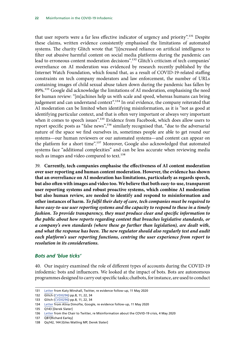<span id="page-22-0"></span>that user reports were a far less effective indicator of urgency and priority".131 Despite these claims, written evidence consistently emphasised the limitations of automated systems. The charity Glitch wrote that "[i]ncreased reliance on artificial intelligence to filter out abusive harmful content on social media platforms during the pandemic can lead to erroneous content moderation decisions".132 Glitch's criticism of tech companies' overreliance on AI moderation was evidenced by research recently published by the Internet Watch Foundation, which found that, as a result of COVID-19-related staffing constraints on tech company moderators and law enforcement, the number of URLs containing images of child sexual abuse taken down during the pandemic has fallen by 89%.133 Google did acknowledge the limitations of AI moderation, emphasising the need for human review: "[m]achines help us with scale and speed, whereas humans can bring judgement and can understand context".<sup>134</sup> In oral evidence, the company reiterated that AI moderation can be limited when identifying misinformation, as it is "not as good at identifying particular context, and that is often very important or always very important when it comes to speech issues".<sup>135</sup> Evidence from Facebook, which does allow users to report specific posts as "false news",<sup>136</sup> similarly recognised that, "due to the adversarial nature of the space we find ourselves in, sometimes people are able to get round our systems—our human reviewers or our automated systems—and content can appear on the platform for a short time".<sup>137</sup> Moreover, Google also acknowledged that automated systems face "additional complexities" and can be less accurate when reviewing media such as images and video compared to text.<sup>138</sup>

39. **Currently, tech companies emphasise the effectiveness of AI content moderation over user reporting and human content moderation. However, the evidence has shown that an overreliance on AI moderation has limitations, particularly as regards speech, but also often with images and video too. We believe that both easy-to-use, transparent user reporting systems and robust proactive systems, which combine AI moderation but also human review, are needed to identify and respond to misinformation and other instances of harm.** *To fulfil their duty of care, tech companies must be required to have easy-to-use user reporting systems and the capacity to respond to these in a timely fashion. To provide transparency, they must produce clear and specific information to the public about how reports regarding content that breaches legislative standards, or a company's own standards (where these go further than legislation), are dealt with, and what the response has been. The new regulator should also regularly test and audit each platform's user reporting functions, centring the user experience from report to resolution in its considerations.*

### *Bots and 'blue ticks'*

40. Our inquiry examined the role of different types of accounts during the COVID-19 infodemic: bots and influencers. We looked at the impact of bots. Bots are autonomous programmes designed to carry out specific tasks; chatbots, for instance, are used to conduct

<sup>131</sup> [Letter](https://committees.parliament.uk/publications/1172/documents/10105/default/) from Katy Minshall, Twitter, re evidence follow-up, 11 May 2020

<sup>132</sup> Glitch [\(CVD0296](https://committees.parliament.uk/writtenevidence/6398/pdf/)) pp.8, 11, 22, 34

<sup>133</sup> Glitch [\(CVD0296](https://committees.parliament.uk/writtenevidence/6398/pdf/)) pp.8, 11, 22, 34

<sup>134</sup> [Letter](https://committees.parliament.uk/publications/1171/documents/10104/default/) from Alina Dimofte, Google, re evidence follow-up, 11 May 2020

<sup>135</sup> Q143 [Derek Slater]

<sup>136</sup> [Letter](https://committees.parliament.uk/publications/926/documents/6894/default/) from the Chair to Twitter, re Misinformation about the COVID-19 crisis, 4 May 2020

<sup>137</sup> Q81[Richard Earley]

<sup>138</sup> Qq142, 144 [Giles Watling MP, Derek Slater]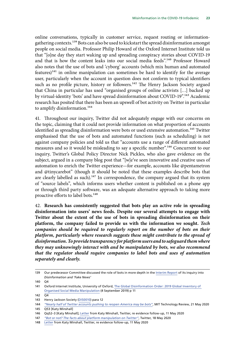online conversations, typically in customer service, request routing or informationgathering contexts.139 Bots can also be used to kickstart the spread disinformation amongst people on social media. Professor Philip Howard of the Oxford Internet Institute told us that "[o]ne day they start waking up and spreading conspiracy stories about COVID-19 and that is how the content leaks into our social media feeds".<sup>140</sup> Professor Howard also notes that the use of bots and 'cyborg' accounts (which mix human and automated features)<sup>141</sup> in online manipulation can sometimes be hard to identify for the average user, particularly when the account in question does not conform to typical identifiers such as no profile picture, history or followers.<sup>142</sup> The Henry Jackson Society argued that China in particular has used "organised groups of online activists […] backed up by virtual-identity 'bots' and have spread disinformation about COVID-19".143 Academic research has posited that there has been an upswell of bot activity on Twitter in particular to amplify disinformation.<sup>144</sup>

41. Throughout our inquiry, Twitter did not adequately engage with our concerns on the topic, claiming that it could not provide information on what proportion of accounts identified as spreading disinformation were bots or used extensive automation.<sup>145</sup> Twitter emphasised that the use of bots and automated functions (such as scheduling) is not against company policies and told us that "accounts use a range of different automated measures and so it would be misleading to say a specific number".<sup>146</sup> Concurrent to our inquiry, Twitter's Global Policy Director Nick Pickles, who also gave evidence on the subject, argued in a company blog post that "[w]e've seen innovative and creative uses of automation to enrich the Twitter experience—for example, accounts like @pentametron and @tinycarebot" (though it should be noted that these examples describe bots that are clearly labelled as such).<sup>147</sup> In correspondence, the company argued that its system of "source labels", which informs users whether content is published on a phone app or through third party software, was an adequate alternative approach to taking more proactive efforts to label bots.<sup>148</sup>

42. **Research has consistently suggested that bots play an active role in spreading disinformation into users' news feeds. Despite our several attempts to engage with Twitter about the extent of the use of bots in spreading disinformation on their platform, the company failed to provide us with the information we sought.** *Tech companies should be required to regularly report on the number of bots on their platform, particularly where research suggests these might contribute to the spread of disinformation. To provide transparency for platform users and to safeguard them where they may unknowingly interact with and be manipulated by bots, we also recommend that the regulator should require companies to label bots and uses of automation separately and clearly.*

<sup>139</sup> Our predecessor Committee discussed the role of bots in more depth in the [Interim Report](https://publications.parliament.uk/pa/cm201719/cmselect/cmcumeds/363/363.pdf) of its inquiry into *Disinformation and 'Fake News'*

<sup>140</sup> Q4

<sup>141</sup> Oxford Internet Institute, University of Oxford, [The Global Disinformation Order: 2019 Global Inventory of](https://comprop.oii.ox.ac.uk/wp-content/uploads/sites/93/2019/09/CyberTroop-Report19.pdf)  [Organised Social Media Manipulation](https://comprop.oii.ox.ac.uk/wp-content/uploads/sites/93/2019/09/CyberTroop-Report19.pdf) (4 September 2019) p 11

 $142 \overline{04}$ 

<sup>143</sup> Henry Jackson Society [\(DIS0010\)](https://committees.parliament.uk/writtenevidence/2112/pdf/) para 12

<sup>144</sup> *"[Nearly half of Twitter accounts pushing to reopen America may be bots](https://www.technologyreview.com/2020/05/21/1002105/covid-bot-twitter-accounts-push-to-reopen-america/)"*, MIT Technology Review, 21 May 2020 145 Q53 [Katy Minshall]

<sup>146</sup> Qq52–3 [Katy Minshall]; [Letter](https://committees.parliament.uk/publications/1172/documents/10105/default/) from Katy Minshall, Twitter, re evidence follow-up, 11 May 2020

<sup>147</sup> *"[Bot or not? The facts about platform manipulation on Twitter"](https://blog.twitter.com/en_us/topics/company/2020/bot-or-not.html)*, Twitter, 18 May 2020

<sup>148</sup> [Letter](https://committees.parliament.uk/publications/1172/documents/10105/default/) from Katy Minshall, Twitter, re evidence follow-up, 11 May 2020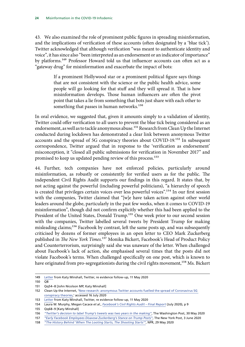43. We also examined the role of prominent public figures in spreading misinformation, and the implications of verification of these accounts (often designated by a 'blue tick'). Twitter acknowledged that although verification "was meant to authenticate identity and voice", it has since also "been interpreted as an endorsement or an indicator of importance" by platforms.<sup>149</sup> Professor Howard told us that influencer accounts can often act as a "gateway drug" for misinformation and exacerbate the impact of bots:

> If a prominent Hollywood star or a prominent political figure says things that are not consistent with the science or the public health advice, some people will go looking for that stuff and they will spread it. That is how misinformation develops. Those human influencers are often the pivot point that takes a lie from something that bots just share with each other to something that passes in human networks.<sup>150</sup>

In oral evidence, we suggested that, given it amounts simply to a validation of identity, Twitter could offer verification to all users to prevent the blue tick being considered as an endorsement, as well as to tackle anonymous abuse.<sup>151</sup> Research from Clean Up the Internet conducted during lockdown has demonstrated a clear link between anonymous Twitter accounts and the spread of 5G conspiracy theories about COVID-19.152 In subsequent correspondence, Twitter argued that in response to the 'verification as endorsement' misconception, it "closed all public submissions for verification in November 2017" and promised to keep us updated pending review of this process.<sup>153</sup>

44. Further, tech companies have not enforced policies, particularly around misinformation, as robustly or consistently for verified users as for the public. The independent Civil Rights Audit supports our findings in this regard. It states that, by not acting against the powerful (including powerful politicians), "a hierarchy of speech is created that privileges certain voices over less powerful voices".<sup>154</sup> In our first session with the companies, Twitter claimed that "[w]e have taken action against other world leaders around the globe, particularly in the past few weeks, when it comes to COVID-19 misinformation", though did not confirm explicitly whether this had been applied to the President of the United States, Donald Trump.<sup>155</sup> One week prior to our second session with the companies, Twitter labelled several tweets by President Trump for making misleading claims;<sup>156</sup> Facebook by contrast, left the same posts up, and was subsequently criticised by dozens of former employees in an open letter to CEO Mark Zuckerberg published in *The New York Times*.157 Monika Bickert, Facebook's Head of Product Policy and Counterterrorism, surprisingly said she was unaware of the letter. When challenged about Facebook's lack of action, she emphasised several times that the posts did not violate Facebook's terms. When challenged specifically on one post, which is known to have originated from pro-segregationists during the civil rights movement,<sup>158</sup> Ms. Bickert

<sup>149</sup> [Letter](https://committees.parliament.uk/publications/1172/documents/10105/default/) from Katy Minshall, Twitter, re evidence follow-up, 11 May 2020

<sup>150</sup> Q8

<sup>151</sup> Qq54–8 [John Nicolson MP, Katy Minshall]

<sup>152</sup> Clean Up the Internet, '[New research: anonymous Twitter accounts fuelled the spread of Coronavirus 5G](https://www.cleanuptheinternet.org.uk/post/new-research-anonymous-twitter-accounts-fuelled-the-spread-of-coronavirus-5g-conspiracy-theories)  [conspiracy theories,](https://www.cleanuptheinternet.org.uk/post/new-research-anonymous-twitter-accounts-fuelled-the-spread-of-coronavirus-5g-conspiracy-theories)' accessed 16 July 2020

<sup>153</sup> [Letter](https://committees.parliament.uk/publications/1172/documents/10105/default/) from Katy Minshall, Twitter, re evidence follow-up, 11 May 2020

<sup>154</sup> Laura W. Murphy, Megan Cacace *et al*., *[Facebook's Civil Rights Audit – Final Report](https://about.fb.com/wp-content/uploads/2020/07/Civil-Rights-Audit-Final-Report.pdf)* (July 2020), p 9

<sup>155</sup> Qq68–9 [Katy Minshall]

<sup>156</sup> *"[Twitter's decision to label Trump's tweets was two years in the making](https://www.washingtonpost.com/technology/2020/05/29/inside-twitter-trump-label/)"*, The Washington Post, 30 May 2020

<sup>157</sup> *"[Early Facebook Employees Disavow Zuckerberg's Stance on Trump Posts](https://www.nytimes.com/2020/06/03/technology/facebook-trump-employees-letter.html)"*, The New York Post, 3 June 2020

<sup>158</sup> *"[The History Behind 'When The Looting Starts, The Shooting Starts'](https://www.npr.org/2020/05/29/864818368/the-history-behind-when-the-looting-starts-the-shooting-starts?t=1593679984734)"*, NPR, 29 May 2020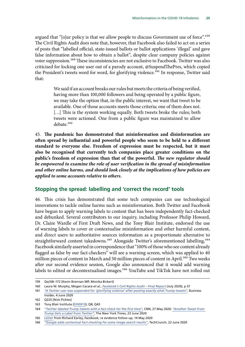<span id="page-25-0"></span>argued that "[o]ur policy is that we allow people to discuss Government use of force".<sup>159</sup> The Civil Rights Audit does note that, however, that Facebook also failed to act on a series of posts that "labelled official, state-issued ballots or ballot applications 'illegal' and gave false information about how to obtain a ballot", despite clear company policies against voter suppression.160 These inconsistencies are not exclusive to Facebook. Twitter was also criticised for locking one user out of a parody account, @SuspendThePres, which copied the President's tweets word for word, for glorifying violence.<sup>161</sup> In response, Twitter said that:

> We said if an account breaks our rules but meets the criteria of being verified, having more than 100,000 followers and being operated by a public figure, we may take the option that, in the public interest, we want that tweet to be available. One of those accounts meets those criteria; one of them does not. [...] This is the system working equally. Both tweets broke the rules; both tweets were actioned. One from a public figure was maintained to allow debate.162

45. **The pandemic has demonstrated that misinformation and disinformation are often spread by influential and powerful people who seem to be held to a different standard to everyone else. Freedom of expression must be respected, but it must also be recognised that currently tech companies place greater conditions on the public's freedom of expression than that of the powerful.** *The new regulator should be empowered to examine the role of user verification in the spread of misinformation and other online harms, and should look closely at the implications of how policies are applied to some accounts relative to others.*

### **Stopping the spread: labelling and 'correct the record' tools**

46. This crisis has demonstrated that some tech companies can use technological innovations to tackle online harms such as misinformation. Both Twitter and Facebook have begun to apply warning labels to content that has been independently fact-checked and debunked. Several contributors to our inquiry, including Professor Philip Howard, Dr. Claire Wardle of First Draft News, and the Tony Blair Institute, endorsed the use of warning labels to cover or contextualise misinformation and other harmful content, and direct users to authoritative sources information as a proportionate alternative to straightforward content takedowns.<sup>163</sup> Alongside Twitter's aforementioned labelling,<sup>164</sup> Facebook similarly asserted in correspondence that "100% of those who see content already flagged as false by our fact-checkers" will see a warning screen, which was applied to 40 million pieces of content in March and 50 million pieces of content in April.<sup>165</sup> Two weeks after our second evidence session, Google also announced that it would add warning labels to edited or decontextualised images.<sup>166</sup> YouTube and TikTok have not rolled out

<sup>159</sup> Qq168–172 [Kevin Brennan MP, Monika Bickert]

<sup>160</sup> Laura W. Murphy, Megan Cacace *et al*., *[Facebook's Civil Rights Audit – Final Report](https://about.fb.com/wp-content/uploads/2020/07/Civil-Rights-Audit-Final-Report.pdf)* (July 2020), p 37

<sup>161</sup> *["A Twitter user was suspended for 'glorifying violence' after posting exactly what Trump tweets](https://www.businessinsider.com/twitter-donald-trump-suspendthepres-experiment-policies-suspension-glorifying-violence-2020-6?r=US&IR=T)"*, Business Insider, 4 June 2020

<sup>162</sup> Q225 [Nick Pickles]

<sup>163</sup> Tony Blair Institute ([DIS0013\)](https://committees.parliament.uk/writtenevidence/2160/pdf/); Q8; Q43

<sup>164</sup> *"[Twitter labeled Trump tweets with a fact check for the first time](https://edition.cnn.com/2020/05/26/tech/twitter-trump-fact-check/index.html)"*, CNN, 27 May 2020; *["Another Tweet From](https://www.nytimes.com/2020/06/23/technology/trump-twitter-label-seattle.html)  [Trump Gets a Label From Twitter"](https://www.nytimes.com/2020/06/23/technology/trump-twitter-label-seattle.html)*, The New York Times, 23 June 2020

<sup>165</sup> [Letter](https://committees.parliament.uk/publications/1173/documents/10106/default/) from Richard Earley, Facebook, re evidence follow-up, 14 May 2020

<sup>166</sup> *"[Google adds contextual fact-checking for some image search results"](https://techcrunch.com/2020/06/22/google-image-fact-checking/)*, TechCrunch, 22 June 2020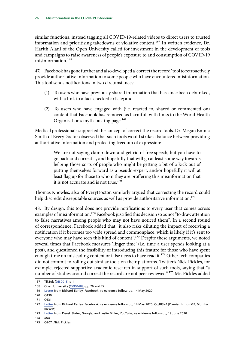similar functions, instead tagging all COVID-19-related videos to direct users to trusted information and prioritising takedowns of violative content.<sup>167</sup> In written evidence, Dr. Harith Alani of the Open University called for investment in the development of tools and campaigns to raise awareness of people's exposure to and consumption of COVID-19 misinformation.168

47. Facebook has gone further and also developed a 'correct the record' tool to retroactively provide authoritative information to some people who have encountered misinformation. This tool sends notifications in two circumstances:

- (1) To users who have previously shared information that has since been debunked, with a link to a fact-checked article; and
- (2) To users who have engaged with (i.e. reacted to, shared or commented on) content that Facebook has removed as harmful, with links to the World Health Organisation's myth-busting page.<sup>169</sup>

Medical professionals supported the concept of correct the record tools. Dr. Megan Emma Smith of EveryDoctor observed that such tools would strike a balance between providing authoritative information and protecting freedom of expression:

> We are not saying clamp down and get rid of free speech, but you have to go back and correct it, and hopefully that will go at least some way towards helping those sorts of people who might be getting a bit of a kick out of putting themselves forward as a pseudo-expert, and/or hopefully it will at least flag up for those to whom they are proffering this misinformation that it is not accurate and is not true.<sup>170</sup>

Thomas Knowles, also of EveryDoctor, similarly argued that correcting the record could help discredit disreputable sources as well as provide authoritative information.<sup>171</sup>

48. By design, this tool does not provide notifications to every user that comes across examples of misinformation.<sup>172</sup> Facebook justified this decision so as not "to draw attention to false narratives among people who may not have noticed them". In a second round of correspondence, Facebook added that "it also risks diluting the impact of receiving a notification if it becomes too wide spread and commonplace, which is likely if it's sent to everyone who may have seen this kind of content".173 Despite these arguments, we noted several times that Facebook measures 'linger time' (i.e. time a user spends looking at a post), and questioned the feasibility of introducing this feature for those who have spent enough time on misleading content or false news to have read it.<sup>174</sup> Other tech companies did not commit to rolling out similar tools on their platforms. Twitter's Nick Pickles, for example, rejected supportive academic research in support of such tools, saying that "a number of studies around correct the record are not peer reviewed".<sup>175</sup> Mr. Pickles added

<sup>167</sup> TikTok ([DIS0018](https://committees.parliament.uk/writtenevidence/5174/pdf/)) p 1

<sup>168</sup> Open University ([CVD0489](https://committees.parliament.uk/writtenevidence/7092/pdf/)) pp.26 and 27

<sup>169</sup> [Letter](https://committees.parliament.uk/publications/1173/documents/10106/default/) from Richard Earley, Facebook, re evidence follow-up, 14 May 2020

 $170 \ 0130$ 

<sup>171</sup> Q131

<sup>172</sup> [Letter](https://committees.parliament.uk/publications/1173/documents/10106/default/) from Richard Earley, Facebook, re evidence follow-up, 14 May 2020; Qq183–4 [Damian Hinds MP, Monika Bickert]

<sup>173</sup> [Letter](https://committees.parliament.uk/publications/1882/documents/18412/default/) from Derek Slater, Google, and Leslie Miller, YouTube, re evidence follow-up, 19 June 2020

<sup>174</sup> *Ibid*

<sup>175</sup> Q207 [Nick Pickles]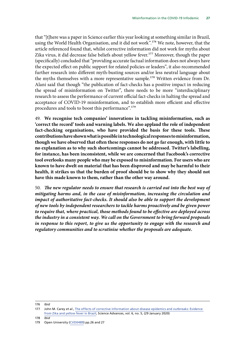that "[t]here was a paper in Science earlier this year looking at something similar in Brazil, using the World Health Organisation, and it did not work".<sup>176</sup> We note, however, that the article referenced found that, whilst corrective information did not work for myths about Zika virus, it did decrease false beliefs about yellow fever.177 Moreover, though the paper (specifically) concluded that "providing accurate factual information does not always have the expected effect on public support for related policies or leaders", it also recommended further research into different myth-busting sources and/or less neutral language about the myths themselves with a more representative sample.<sup>178</sup> Written evidence from Dr. Alani said that though "the publication of fact-checks has a positive impact in reducing the spread of misinformation on Twitter", there needs to be more "interdisciplinary research to assess the performance of current official fact-checks in halting the spread and acceptance of COVID-19 misinformation, and to establish more efficient and effective procedures and tools to boost this performance".179

49. **We recognise tech companies' innovations in tackling misinformation, such as 'correct the record' tools and warning labels. We also applaud the role of independent fact-checking organisations, who have provided the basis for these tools. These contributions have shown what is possible in technological responses to misinformation, though we have observed that often these responses do not go far enough, with little to no explanation as to why such shortcomings cannot be addressed. Twitter's labelling, for instance, has been inconsistent, while we are concerned that Facebook's corrective tool overlooks many people who may be exposed to misinformation. For users who are known to have dwelt on material that has been disproved and may be harmful to their health, it strikes us that the burden of proof should be to show why they should not have this made known to them, rather than the other way around.**

50. *The new regulator needs to ensure that research is carried out into the best way of mitigating harms and, in the case of misinformation, increasing the circulation and impact of authoritative fact-checks. It should also be able to support the development of new tools by independent researchers to tackle harms proactively and be given power to require that, where practical, those methods found to be effective are deployed across the industry in a consistent way. We call on the Government to bring forward proposals in response to this report, to give us the opportunity to engage with the research and regulatory communities and to scrutinise whether the proposals are adequate.*

178 *Ibid*

<sup>176</sup> *Ibid*

<sup>177</sup> John M. Carey *et al*., [The effects of corrective information about disease epidemics and outbreaks: Evidence](https://advances.sciencemag.org/content/6/5/eaaw7449)  [from Zika and yellow fever in Brazil](https://advances.sciencemag.org/content/6/5/eaaw7449), Science Advances, vol. 6, no. 5, (29 January 2020)

<sup>179</sup> Open University ([CVD0489](https://committees.parliament.uk/writtenevidence/7092/pdf/)) pp.26 and 27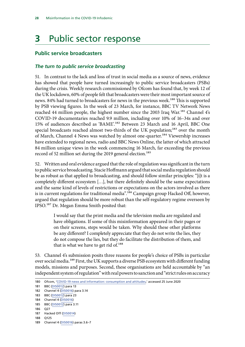# <span id="page-28-0"></span>**3** Public sector response

### **Public service broadcasters**

#### *The turn to public service broadcasting*

51. In contrast to the lack and loss of trust in social media as a source of news, evidence has showed that people have turned increasingly to public service broadcasters (PSBs) during the crisis. Weekly research commissioned by Ofcom has found that, by week 12 of the UK lockdown, 60% of people felt that broadcasters were their most important source of news. 84% had turned to broadcasters for news in the previous week.<sup>180</sup> This is supported by PSB viewing figures. In the week of 23 March, for instance, BBC TV Network News reached 44 million people, the highest number since the 2003 Iraq War.<sup>181</sup> Channel 4's COVID-19 documentaries reached 9.9 million, including over 10% of 16–34s and over 15% of audiences described as 'BAME'.182 Between 23 March and 16 April, BBC One special broadcasts reached almost two-thirds of the UK population;<sup>183</sup> over the month of March, Channel 4 News was watched by almost one-quarter.184 Viewership increases have extended to regional news, radio and BBC News Online, the latter of which attracted 84 million unique views in the week commencing 16 March, far exceeding the previous record of 52 million set during the 2019 general election.<sup>185</sup>

52. Written and oral evidence argued that the role of regulation was significant in the turn to public service broadcasting. Stacie Hoffmann argued that social media regulation should be as robust as that applied to broadcasting, and should follow similar principles: "[i]t is a completely different ecosystem […], but there definitely should be the same expectations and the same kind of levels of restrictions or expectations on the actors involved as there is in current regulations for traditional media".<sup>186</sup> Campaign group Hacked Off, however, argued that regulation should be more robust than the self-regulatory regime overseen by IPSO.187 Dr. Megan Emma Smith posited that:

> I would say that the print media and the television media are regulated and have obligations. If some of this misinformation appeared in their pages or on their screens, steps would be taken. Why should these other platforms be any different? I completely appreciate that they do not write the lies, they do not compose the lies, but they do facilitate the distribution of them, and that is what we have to get rid of.<sup>188</sup>

53. Channel 4's submission posits three reasons for people's choice of PSBs in particular over social media.<sup>189</sup> First, the UK supports a diverse PSB ecosystem with different funding models, missions and purposes. Second, these organisations are held accountable by "an independent system of regulation" with real powers to sanction and "strict rules on accuracy

<sup>180</sup> Ofcom, '[COVID-19 news and information: consumption and attitudes](https://www.ofcom.org.uk/research-and-data/tv-radio-and-on-demand/news-media/coronavirus-news-consumption-attitudes-behaviour),' accessed 25 June 2020

<sup>181</sup> BBC [\(DIS0012\)](https://committees.parliament.uk/writtenevidence/2159/pdf/) para 13

<sup>182</sup> Channel 4 ([DIS0016\)](https://committees.parliament.uk/writtenevidence/2592/pdf/) para 3.14

<sup>183</sup> BBC [\(DIS0012\)](https://committees.parliament.uk/writtenevidence/2159/pdf/) para 23

<sup>184</sup> Channel 4 ([DIS0016\)](https://committees.parliament.uk/writtenevidence/2592/pdf/)

<sup>185</sup> BBC [\(DIS0012\)](https://committees.parliament.uk/writtenevidence/2159/pdf/) para 3.11

<sup>186</sup> Q27

<sup>187</sup> Hacked Off ([DIS0014](https://committees.parliament.uk/writtenevidence/2206/pdf/))

<sup>188</sup> Q125

<sup>189</sup> Channel 4 ([DIS0016\)](https://committees.parliament.uk/writtenevidence/2592/pdf/) paras 3.6–7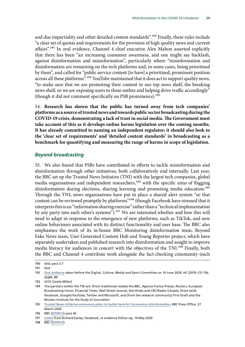<span id="page-29-0"></span>and due impartiality and other detailed content standards".<sup>190</sup> Finally, these rules include "a clear set of quotas and requirements for the provision of high quality news and current affairs".<sup>191</sup> In oral evidence, Channel 4 chief executive Alex Mahon asserted explicitly that there has been "an increasing consumer awareness, and one might say backlash, against disinformation and misinformation", particularly where "misinformation and disinformation are remaining on the tech platforms and, in some cases, being prioritised by them", and called for "public service content [to have] a prioritised, prominent position across all these platforms".<sup>192</sup> YouTube maintained that it does act to support quality news, "to make sure that we are promoting their content in our top news shelf, the breaking news shelf, so we are exposing users to these outlets and helping drive traffic accordingly" (though it did not comment specifically on PSB prominence).<sup>193</sup>

54. **Research has shown that the public has turned away from tech companies' platforms as a source of trusted news and towards public sector broadcasting during the COVID-19 crisis, demonstrating a lack of trust in social media. The Government must take account of this as it develops online harms legislation over the coming months. It has already committed to naming an independent regulator; it should also look to the 'clear set of requirements' and 'detailed content standards' in broadcasting as a benchmark for quantifying and measuring the range of harms in scope of legislation.**

#### *Beyond broadcasting*

55. We also found that PSBs have contributed to efforts to tackle misinformation and disinformation through other initiatives, both collaboratively and internally. Last year, the BBC set up the Trusted News Initiative (TNI) with the largest tech companies, global media organisations and independent researchers,<sup>194</sup> with the specific aims of flagging disinformation during elections, sharing learning and promoting media education.<sup>195</sup> Through the TNI, news organisations have put in place a shared alert system "so that content can be reviewed promptly by platforms"<sup>196</sup> (though Facebook have stressed that it interprets this is an "information sharing exercise" rather than a "technical implementation by any party into each other's systems").<sup>197</sup> We are interested whether and how this will need to adapt in response to the emergence of new platforms, such as TikTok, and new online behaviours associated with its distinct functionality and user base. The BBC also emphasises the work of its in-house BBC Monitoring disinformation team, Beyond Fake News team, User Generated Content Hub and Young Reporter project, which have separately undertaken and published research into disinformation and sought to improve media literacy for audiences in concert with the objectives of the TNI.<sup>198</sup> Finally, both the BBC and Channel 4 contribute work alongside the fact-checking community (such

198 BBC [\(DIS0012\)](https://committees.parliament.uk/writtenevidence/2159/pdf/)

<sup>190</sup> *Ibid*, para 3.7

<sup>191</sup> *Ibid*

<sup>192</sup> [Oral evidence](https://committees.parliament.uk/oralevidence/517/pdf/) taken before the Digital, Culture, Media and Sport Committee on 16 June 2020, HC (2019–21) 156, Qq84, 89

<sup>193</sup> Q151 [Leslie Miller]

<sup>194</sup> The partners within the TNI are: (from traditional media) the BBC, Agence France-Presse, Reuters, European Broadcasting Union, Financial Times, Wall Street Journal, the Hindu and CBC/Radio-Canada; (from tech) Facebook, Google/YouTube, Twitter and Microsoft; and (from the research community) First Draft and the Reuters Institute for the Study of Journalism.

<sup>195</sup> *[Trusted News Initiative announces plans to tackle harmful Coronavirus disinformation](https://www.bbc.co.uk/mediacentre/latestnews/2020/coronavirus-trusted-news)*, BBC Press Office, 27 **March 2020** 

<sup>196</sup> BBC [\(DIS0012\)](https://committees.parliament.uk/writtenevidence/2159/pdf/) para 42

<sup>197</sup> [Letter](https://committees.parliament.uk/publications/1173/documents/10106/default/) from Richard Earley, Facebook, re evidence follow-up, 14 May 2020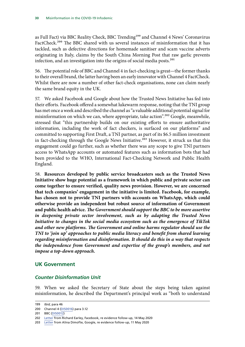<span id="page-30-0"></span>as Full Fact) via BBC Reality Check, BBC Trending<sup>199</sup> and Channel 4 News' Coronavirus FactCheck.<sup>200</sup> The BBC shared with us several instances of misinformation that it has tackled, such as defective directions for homemade sanitiser and scam vaccine adverts originating in Italy, claims by the South China Morning Post that raw garlic prevents infection, and an investigation into the origins of social media posts.<sup>201</sup>

56. The potential role of BBC and Channel 4 in fact-checking is great—the former thanks to their overall brand, the latter having been an early innovator with Channel 4 FactCheck. Whilst there are now a number of other fact-check organisations, none can claim nearly the same brand equity in the UK.

57. We asked Facebook and Google about how the Trusted News Initiative has fed into their efforts. Facebook offered a somewhat lukewarm response, noting that the TNI group has met once a week and described the channel as "a valuable additional potential signal for misinformation on which we can, where appropriate, take action".<sup>202</sup> Google, meanwhile, stressed that "this partnership builds on our existing efforts to ensure authoritative information, including the work of fact checkers, is surfaced on our platforms" and committed to supporting First Draft, a TNI partner, as part of its \$6.5 million investment in fact-checking through the Google News Initiative.<sup>203</sup> However, it struck us that this engagement could go further, such as whether there was any scope to give TNI partners access to WhatsApp accounts or automated features such as information bots that had been provided to the WHO, International Fact-Checking Network and Public Health England.

58. **Resources developed by public service broadcasters such as the Trusted News Initiative show huge potential as a framework in which public and private sector can come together to ensure verified, quality news provision. However, we are concerned that tech companies' engagement in the initiative is limited. Facebook, for example, has chosen not to provide TNI partners with accounts on WhatsApp, which could otherwise provide an independent but robust source of information of Government and public health advice.** *The Government should support the BBC to be more assertive in deepening private sector involvement, such as by adapting the Trusted News Initiative to changes in the social media ecosystem such as the emergence of TikTok and other new platforms. The Government and online harms regulator should use the TNI to 'join up' approaches to public media literacy and benefit from shared learning regarding misinformation and disinformation. It should do this in a way that respects the independence from Government and expertise of the group's members, and not impose a top-down approach.*

# **UK Government**

### *Counter Disinformation Unit*

59. When we asked the Secretary of State about the steps being taken against misinformation, he described the Department's principal work as "both to understand

<sup>199</sup> *Ibid*, para 46

<sup>200</sup> Channel 4 ([DIS0016\)](https://committees.parliament.uk/writtenevidence/2592/pdf/) para 3.12

<sup>201</sup> BBC [\(DIS0012\)](https://committees.parliament.uk/writtenevidence/2159/pdf/)

<sup>202</sup> [Letter](https://committees.parliament.uk/publications/1173/documents/10106/default/) from Richard Earley, Facebook, re evidence follow-up, 14 May 2020

<sup>203</sup> [Letter](https://committees.parliament.uk/publications/1171/documents/10104/default/) from Alina Dimofte, Google, re evidence follow-up, 11 May 2020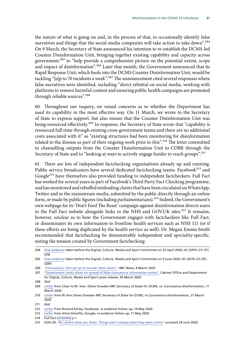the nature of what is going on and, in the process of that, to occasionally identify false narratives and things that the social media companies will take action to take down".<sup>204</sup> On 9 March, the Secretary of State announced his intention to re-establish the DCMS-led Counter Disinformation Unit, bringing together existing capability and capacity across government,<sup>205</sup> to "help provide a comprehensive picture on the potential extent, scope and impact of disinformation".<sup>206</sup> Later that month, the Government announced that its Rapid Response Unit, which feeds into the DCMS Counter Disinformation Unit, would be tackling "[u]p to 70 incidents a week".<sup>207</sup> The announcement cited several responses where false narratives were identified, including "direct rebuttal on social media, working with platforms to remove harmful content and ensuring public health campaigns are promoted through reliable sources".208

60. Throughout our inquiry, we raised concerns as to whether the Department has used its capability in the most effective way. On 11 March, we wrote to the Secretary of State to express support, but also ensure that the Counter Disinformation Unit was being resourced effectively.<sup>209</sup> In response, the Secretary of State wrote that "capability is resourced full time through existing cross-government teams and there are no additional costs associated with it" as "existing structures had been monitoring for disinformation related to the disease as part of their ongoing work prior to this".<sup>210</sup> The letter committed to channelling outputs from the Counter Disinformation Unit to COBR through the Secretary of State and to "looking at ways to actively engage harder to reach groups".<sup>211</sup>

61. There are lots of independent factchecking organisations already up and running. Public service broadcasters have several dedicated factchecking teams. Facebook<sup>212</sup> and Google<sup>213</sup> have themselves also provided funding to independent factcheckers. Full Fact has worked for several years as part of Facebook's Third Party Fact Checking programme, and has monitored and rebuffed misleading claims that have been circulated on WhatsApp, Twitter and in the mainstream media, submitted by the public directly through an online form, or made by public figures (including parliamentarians).<sup>214</sup> Indeed, the Government's own webpage for its 'Don't Feed The Beast' campaign against disinformation directs users to the Full Fact website alongside links to the NHS and GOV.UK sites.<sup>215</sup> It remains, however, unclear as to how the Government engages with factcheckers like Full Fact, or disseminates its own information to frontline health services such as NHS 111 (or if these efforts are being duplicated by the health service as well). Dr. Megan Emma Smith recommended that factchecking be demonstrably independent and speciality-specific, noting the tension created by Government factchecking:

208 *Ibid*

<sup>204</sup> [Oral evidence](https://committees.parliament.uk/oralevidence/300/pdf/) taken before the Digital, Culture, Media and Sport Committee on 22 April 2020, HC (2019–21) 157,  $\overline{O18}$ 

<sup>205</sup> [Oral evidence](https://committees.parliament.uk/oralevidence/478/pdf/) taken before the Digital, Culture, Media and Sport Committee on 9 June 2020, HC (2019–21) 291, Q381

<sup>206</sup> *"[Coronavirus: Unit set up to counter false claims"](https://www.bbc.co.uk/news/uk-politics-51800216)* , BBC News, 9 March 2020

<sup>207</sup> *["Government cracks down on spread of false coronavirus information online"](https://www.gov.uk/government/news/government-cracks-down-on-spread-of-false-coronavirus-information-online)*, Cabinet Office and Department for Digital, Culture, Media and Sport press release, 30 March 2020

<sup>209</sup> [Letter](https://committees.parliament.uk/publications/364/documents/1428/default/) from Chair to Rt. Hon. Oliver Dowden MP, Secretary of State for DCMS, re. Coronavirus disinformation, 11 March 2020

<sup>210</sup> [Letter](https://committees.parliament.uk/publications/1494/documents/13607/default/) from Rt Hon Oliver Dowden MP, Secretary of State for DCMS, re Coronavirus disinformation, 27 March 2020

<sup>211</sup> *Ibid*

<sup>212</sup> [Letter](https://committees.parliament.uk/publications/1173/documents/10106/default/) from Richard Earley, Facebook, re evidence follow-up, 14 May 2020

<sup>213</sup> [Letter](https://committees.parliament.uk/publications/1171/documents/10104/default/) from Alina Dimofte, Google, re evidence follow-up, 11 May 2020

<sup>214</sup> Full Fact ([DIS0006](https://committees.parliament.uk/writtenevidence/2101/pdf/)) p 1

<sup>215</sup> GOV.UK, '[Be careful what you share. Things aren't always what they seem online.'](https://sharechecklist.gov.uk/) accessed 24 June 2020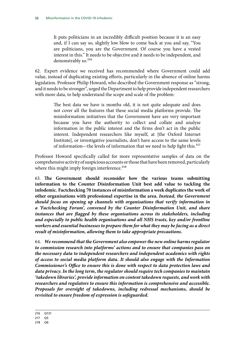It puts politicians in an incredibly difficult position because it is an easy and, if I can say so, slightly low blow to come back at you and say, "You are politicians, you are the Government. Of course you have a vested interest in this." It needs to be objective and it needs to be independent, and demonstrably so.<sup>216</sup>

62. Expert evidence we received has recommended where Government could add value, instead of duplicating existing efforts, particularly in the absence of online harms legislation. Professor Philip Howard, who described the Government response as "strong, and it needs to be stronger", urged the Department to help provide independent researchers with more data, to help understand the scope and scale of the problem:

> The best data we have is months old, it is not quite adequate and does not cover all the features that these social media platforms provide. The misinformation initiatives that the Government have are very important because you have the authority to collect and collate and analyse information in the public interest and the firms don't act in the public interest. Independent researchers like myself, at [the Oxford Internet Institute], or investigative journalists, don't have access to the same levels of information—the levels of information that we need to help fight this.<sup>217</sup>

Professor Howard specifically called for more representative samples of data on the comprehensive activity of suspicious accounts or those that have been removed, particularly where this might imply foreign interference.<sup>218</sup>

63. **The Government should reconsider how the various teams submitting information to the Counter Disinformation Unit best add value to tackling the infodemic. Factchecking 70 instances of misinformation a week duplicates the work of other organisations with professional expertise in the area.** *Instead, the Government should focus on opening up channels with organisations that verify information in a 'Factchecking Forum', convened by the Counter Disinformation Unit, and share instances that are flagged by these organisations across its stakeholders, including and especially to public health organisations and all NHS trusts, key and/or frontline workers and essential businesses to prepare them for what they may be facing as a direct result of misinformation, allowing them to take appropriate precautions.*

64. *We recommend that the Government also empower the new online harms regulator to commission research into platforms' actions and to ensure that companies pass on the necessary data to independent researchers and independent academics with rights of access to social media platform data***.** *It should also engage with the Information Commissioner's Office to ensure this is done with respect to data protection laws and data privacy. In the long term, the regulator should require tech companies to maintain 'takedown libraries', provide information on content takedown requests, and work with researchers and regulators to ensure this information is comprehensive and accessible. Proposals for oversight of takedowns, including redressal mechanisms, should be revisited to ensure freedom of expression is safeguarded.*

<sup>216</sup> Q131

<sup>217</sup> Q5

<sup>218</sup> Q6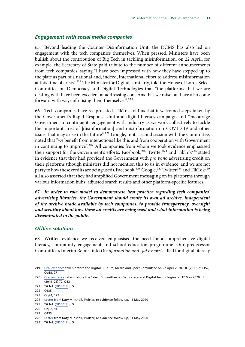#### <span id="page-33-0"></span>*Engagement with social media companies*

65. Beyond leading the Counter Disinformation Unit, the DCMS has also led on engagement with the tech companies themselves. When pressed, Ministers have been bullish about the contribution of Big Tech in tackling misinformation; on 22 April, for example, the Secretary of State paid tribute to the number of different announcements from tech companies, saying "I have been impressed with how they have stepped up to the plate as part of a national and, indeed, international effort to address misinformation at this time of crisis".<sup>219</sup> The Minister for Digital, similarly, told the House of Lords Select Committee on Democracy and Digital Technologies that "the platforms that we are dealing with have been excellent at addressing concerns that we raise but have also come forward with ways of raising them themselves".<sup>220</sup>

66. Tech companies have reciprocated. TikTok told us that it welcomed steps taken by the Government's Rapid Response Unit and digital literacy campaign and "encourage Government to continue its engagement with industry as we work collectively to tackle the important area of [disinformation] and misinformation on COVID-19 and other issues that may arise in the future".<sup>221</sup> Google, in its second session with the Committee, noted that "we benefit from interactions like this and from cooperation with Government in continuing to improve".<sup>222</sup> All companies from whom we took evidence emphasised their support for the Government's efforts. Facebook,<sup>223</sup> Twitter<sup>224</sup> and TikTok<sup>225</sup> stated in evidence that they had provided the Government with *pro bono* advertising credit on their platforms (though ministers did not mention this to us in evidence, and we are not party to how these credits are being used). Facebook,<sup>226</sup> Google,<sup>227</sup> Twitter<sup>228</sup> and TikTok<sup>229</sup> all also asserted that they had amplified Government messaging on its platforms through various information hubs, adjusted search results and other platform-specific features.

67. *In order to role model to demonstrate best practice regarding tech companies' advertising libraries, the Government should create its own ad archive, independent of the archive made available by tech companies, to provide transparency, oversight and scrutiny about how these ad credits are being used and what information is being disseminated to the public.*

#### *Offline solutions*

68. Written evidence we received emphasised the need for a comprehensive digital literacy, community engagement and school education programme. Our predecessor Committee's Interim Report into *Disinformation and ' fake news'* called for digital literacy

224 [Letter](https://committees.parliament.uk/publications/1172/documents/10105/default/) from Katy Minshall, Twitter, re evidence follow-up, 11 May 2020

226 Qq92, 94

<sup>219</sup> [Oral evidence](https://committees.parliament.uk/oralevidence/300/pdf/) taken before the Digital, Culture, Media and Sport Committee on 22 April 2020, HC (2019–21) 157, Qq18, 27

<sup>220</sup> [Oral evidence](https://committees.parliament.uk/oralevidence/414/pdf/) taken before the Select Committee on Democracy and Digital Technologies on 12 May 2020, HL (2019–21) 77, Q331

<sup>221</sup> TikTok ([DIS0018](https://committees.parliament.uk/writtenevidence/5174/pdf/)) p 5

<sup>222</sup> Q135

<sup>223</sup> Qq94, 177

<sup>225</sup> TikTok ([DIS0018](https://committees.parliament.uk/writtenevidence/5174/pdf/)) p 5

<sup>227</sup> Q135

<sup>228</sup> [Letter](https://committees.parliament.uk/publications/1172/documents/10105/default/) from Katy Minshall, Twitter, re evidence follow-up, 11 May 2020

<sup>229</sup> TikTok ([DIS0018](https://committees.parliament.uk/writtenevidence/5174/pdf/)) p 5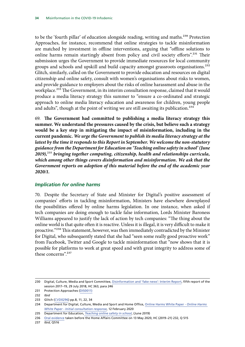<span id="page-34-0"></span>to be the 'fourth pillar' of education alongside reading, writing and maths.<sup>230</sup> Protection Approaches, for instance, recommend that online strategies to tackle misinformation are matched by investment in offline interventions, arguing that "offline solutions to online harms remain startingly absent from policy and civil society efforts".<sup>231</sup> Their submission urges the Government to provide immediate resources for local community groups and schools and upskill and build capacity amongst grassroots organisations.<sup>232</sup> Glitch, similarly, called on the Government to provide education and resources on digital citizenship and online safety, consult with women's organisations about risks to women, and provide guidance to employers about the risks of online harassment and abuse in the workplace.<sup>233</sup> The Government, in its interim consultation response, claimed that it would produce a media literacy strategy this summer to "ensure a co-ordinated and strategic approach to online media literacy education and awareness for children, young people and adults", though at the point of writing we are still awaiting its publication.<sup>234</sup>

69. **The Government had committed to publishing a media literacy strategy this summer. We understand the pressures caused by the crisis, but believe such a strategy would be a key step in mitigating the impact of misinformation, including in the current pandemic.** *We urge the Government to publish its media literacy strategy at the latest by the time it responds to this Report in September. We welcome the non-statutory guidance from the Department for Education on 'Teaching online safety in school' (June 2019),*235 *bringing together computing, citizenship, health and relationships curricula, which among other things covers disinformation and misinformation. We ask that the Government reports on adoption of this material before the end of the academic year 2020/1.*

### *Implication for online harms*

70. Despite the Secretary of State and Minister for Digital's positive assessment of companies' efforts in tackling misinformation, Ministers have elsewhere downplayed the possibilities offered by online harms legislation. In one instance, when asked if tech companies are doing enough to tackle false information, Lords Minister Baroness Williams appeared to justify the lack of action by tech companies: "The thing about the online world is that quite often it is reactive. Unless it is illegal, it is very difficult to make it proactive."236 This statement, however, was then immediately contradicted by the Minister for Digital, who subsequently stated that she had "seen some really good proactive work" from Facebook, Twitter and Google to tackle misinformation that "now shows that it is possible for platforms to work at great speed and with great integrity to address some of these concerns".237

236 [Oral evidence](https://committees.parliament.uk/oralevidence/359/default/) taken before the Home Affairs Committee on 13 May 2020, HC (2019–21) 232, Q 515

237 *Ibid*, Q516

<sup>230</sup> Digital, Culture, Media and Sport Committee, [Disinformation and 'fake news': Interim Report](https://publications.parliament.uk/pa/cm201719/cmselect/cmcumeds/363/363.pdf), fifth report of the session 2017–19, 29 July 2018, HC 363, para 246

<sup>231</sup> Protection Approaches [\(DIS0011](https://committees.parliament.uk/writtenevidence/2115/pdf/))

<sup>232</sup> *Ibid*

<sup>233</sup> Glitch [\(CVD0296](https://committees.parliament.uk/writtenevidence/6398/pdf/)) pp.8, 11, 22, 34

<sup>234</sup> Department for Digital, Culture, Media and Sport and Home Office, Online Harms White Paper - *[Online Harms](https://www.gov.uk/government/consultations/online-harms-white-paper/public-feedback/online-harms-white-paper-initial-consultation-response)  [White Paper - Initial consultation response](https://www.gov.uk/government/consultations/online-harms-white-paper/public-feedback/online-harms-white-paper-initial-consultation-response)*, 12 February 2020

<sup>235</sup> Department for Education, *[Teaching online safety in school](https://assets.publishing.service.gov.uk/government/uploads/system/uploads/attachment_data/file/811796/Teaching_online_safety_in_school.pdf)*, (June 2019)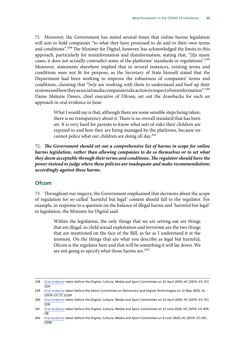<span id="page-35-0"></span>71. Moreover, the Government has stated several times that online harms legislation will aim to hold companies "to what they have promised to do and to their own terms and conditions".<sup>238</sup> The Minister for Digital, however, has acknowledged the limits to this approach, particularly for misinformation and disinformation, stating that, "[i]n many cases, it does not actually contradict some of the platforms' standards or regulations".<sup>239</sup> Moreover, statements elsewhere implied that in several instances, existing terms and conditions were not fit for purpose, as the Secretary of State himself stated that the Department had been working to improve the robustness of companies' terms and conditions, claiming that "[w]e are working with them to understand and beef up their systems and how they as social media companies take action in respect of misinformation".<sup>240</sup> Dame Melanie Dawes, chief executive of Ofcom, set out the drawbacks for such an approach in oral evidence in June:

> What I would say is that, although there are some sensible steps being taken, there is no transparency about it. There is no overall standard that has been set. It is very hard for parents to know what sort of risks their children are exposed to and how they are being managed by the platforms, because we cannot police what our children are doing all day.<sup>241</sup>

72. *The Government should set out a comprehensive list of harms in scope for online harms legislation, rather than allowing companies to do so themselves or to set what they deem acceptable through their terms and conditions. The regulator should have the power instead to judge where these policies are inadequate and make recommendations accordingly against these harms.*

#### **Ofcom**

73. Throughout our inquiry, the Government emphasised that decisions about the scope of regulation for so-called 'harmful but legal' content should fall to the regulator. For example, in response to a question on the balance of illegal harms and 'harmful but legal' in legislation, the Minister for Digital said:

> Within the legislation, the only things that we are setting out are things that are illegal, so child sexual exploitation and terrorism are the two things that are mentioned on the face of the Bill, as far as I understand it at the moment. On the things that are what you describe as legal but harmful, Ofcom is the regulator here and that will be something it will lay down. We are not going to specify what those harms are. $242$

<sup>238</sup> [Oral evidence](https://committees.parliament.uk/oralevidence/300/pdf/) taken before the Digital, Culture, Media and Sport Committee on 22 April 2020, HC (2019–21) 157,  $Q20$ 

<sup>239</sup> [Oral evidence](https://committees.parliament.uk/oralevidence/414/pdf/) taken before the Select Committee on Democracy and Digital Technologies on 12 May 2020, HL (2019–21) 77, Q339

<sup>240</sup> [Oral evidence](https://committees.parliament.uk/oralevidence/300/pdf/) taken before the Digital, Culture, Media and Sport Committee on 22 April 2020, HC (2019–21) 157, O<sub>18</sub>

<sup>241</sup> [Oral evidence](https://committees.parliament.uk/oralevidence/556/pdf/) taken before the Digital, Culture, Media and Sport Committee on 23 June 2020, HC (2019–21) 439,  $\overline{O8}$ 

<sup>242</sup> [Oral evidence](https://committees.parliament.uk/oralevidence/478/pdf/) taken before the Digital, Culture, Media and Sport Committee on 9 June 2020, HC (2019–21) 291, Q380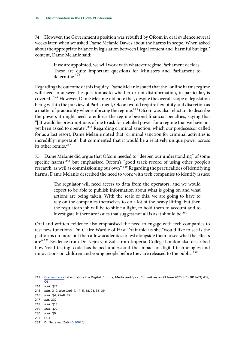74. However, the Government's position was rebuffed by Ofcom in oral evidence several weeks later, when we asked Dame Melanie Dawes about the harms in scope. When asked about the appropriate balance in legislation between illegal content and 'harmful but legal' content, Dame Melanie said:

> If we are appointed, we will work with whatever regime Parliament decides. These are quite important questions for Ministers and Parliament to determine.<sup>243</sup>

Regarding the outcome of this inquiry, Dame Melanie stated that the "online harms regime will need to answer the question as to whether or not disinformation, in particular, is covered".244 However, Dame Melanie did note that, despite the overall scope of legislation being within the purview of Parliament, Ofcom would require flexibility and discretion as a matter of practicality when enforcing the regime.<sup>245</sup> Ofcom was also reluctant to describe the powers it might need to enforce the regime beyond financial penalties, saying that "[i]t would be presumptuous of me to ask for detailed power for a regime that we have not yet been asked to operate".<sup>246</sup> Regarding criminal sanction, which our predecessor called for as a last resort, Dame Melanie noted that "criminal sanction for criminal activities is incredibly important" but commented that it would be a relatively unique power across its other remits.247

75. Dame Melanie did argue that Ofcom needed to "deepen our understanding" of some specific harms,<sup>248</sup> but emphasised Ofcom's "good track record of using other people's research, as well as commissioning our own".<sup>249</sup> Regarding the practicalities of identifying harms, Dame Melanie described the need to work with tech companies to identify issues:

> The regulator will need access to data from the operators, and we would expect to be able to publish information about what is going on and what actions are being taken. With the scale of this, we are going to have to rely on the companies themselves to do a lot of the heavy lifting, but then the regulator's job will be to shine a light, to hold them to account and to investigate if there are issues that suggest not all is as it should be.<sup>250</sup>

Oral and written evidence also emphasised the need to engage with tech companies to test new functions. Dr. Claire Wardle of First Draft told us she "would like to see is the platforms do more but then allow academics to test alongside them to see what the effects are".251 Evidence from Dr. Nejra van Zalk from Imperial College London also described how 'road testing' code has helped understand the impact of digital technologies and innovations on children and young people before they are released to the public.<sup>252</sup>

- 246 *Ibid*, Q4, 25–8, 35
- 247 *bid*, Q37
- 248 *Ibid*, Q15
- 249 *Ibid*, Q22
- 250 *Ibid*, Q9
- 251 Q33
- 252 Dr Nejra van Zalk ([DIS0020\)](https://committees.parliament.uk/writtenevidence/7990/pdf/)

<sup>243</sup> [Oral evidence](https://committees.parliament.uk/oralevidence/556/pdf/) taken before the Digital, Culture, Media and Sport Committee on 23 June 2020, HC (2019–21) 439,  $O<sub>6</sub>$ 

<sup>244</sup> *Ibid*, Q24

<sup>245</sup> *Ibid*, Q10; also Qq6–7, 14–5, 18, 21, 36, 39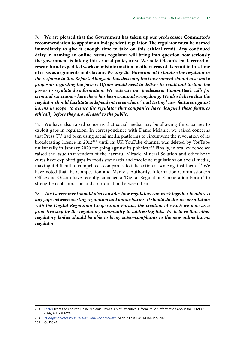76. **We are pleased that the Government has taken up our predecessor Committee's recommendation to appoint an independent regulator. The regulator must be named immediately to give it enough time to take on this critical remit. Any continued delay in naming an online harms regulator will bring into question how seriously the government is taking this crucial policy area. We note Ofcom's track record of research and expedited work on misinformation in other areas of its remit in this time of crisis as arguments in its favour.** *We urge the Government to finalise the regulator in the response to this Report. Alongside this decision, the Government should also make proposals regarding the powers Ofcom would need to deliver its remit and include the power to regulate disinformation. We reiterate our predecessor Committee's calls for criminal sanctions where there has been criminal wrongdoing. We also believe that the regulator should facilitate independent researchers 'road testing' new features against harms in scope, to assure the regulator that companies have designed these features ethically before they are released to the public.*

77. We have also raised concerns that social media may be allowing third parties to exploit gaps in regulation. In correspondence with Dame Melanie, we raised concerns that Press TV had been using social media platforms to circumvent the revocation of its broadcasting licence in 2012253 until its UK YouTube channel was deleted by YouTube unilaterally in January 2020 for going against its policies.<sup>254</sup> Finally, in oral evidence we raised the issue that vendors of the harmful Miracle Mineral Solution and other hoax cures have exploited gaps in foods standards and medicine regulations on social media, making it difficult to compel tech companies to take action at scale against them.<sup>255</sup> We have noted that the Competition and Markets Authority, Information Commissioner's Office and Ofcom have recently launched a 'Digital Regulation Cooperation Forum' to strengthen collaboration and co-ordination between them.

78. *The Government should also consider how regulators can work together to address any gaps between existing regulation and online harms. It should do this in consultation with the Digital Regulation Cooperation Forum, the creation of which we note as a proactive step by the regulatory community in addressing this. We believe that other regulatory bodies should be able to bring super-complaints to the new online harms regulator.*

<sup>253</sup> [Letter](https://committees.parliament.uk/publications/592/documents/2365/default/) from the Chair to Dame Melanie Dawes, Chief Executive, Ofcom, re Misinformation about the COVID-19 crisis, 6 April 2020

<sup>254</sup> *"[Google deletes Press TV UK's YouTube account](https://www.middleeasteye.net/news/google-shuts-down-press-tv-uks-youtube-account)"*, Middle East Eye, 14 January 2020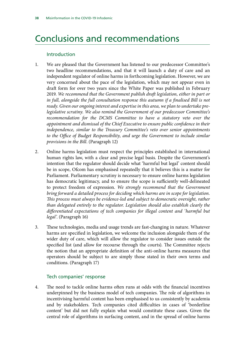# <span id="page-38-0"></span>Conclusions and recommendations

## Introduction

- 1. We are pleased that the Government has listened to our predecessor Committee's two headline recommendations, and that it will launch a duty of care and an independent regulator of online harms in forthcoming legislation. However, we are very concerned about the pace of the legislation, which may not appear even in draft form for over two years since the White Paper was published in February 2019. *We recommend that the Government publish draft legislation, either in part or*  in full, alongside the full consultation response this autumn if a finalised Bill is not *ready. Given our ongoing interest and expertise in this area, we plan to undertake prelegislative scrutiny. We also remind the Government of our predecessor Committee's recommendation for the DCMS Committee to have a statutory veto over the appointment and dismissal of the Chief Executive to ensure public confidence in their independence, similar to the Treasury Committee's veto over senior appointments to the Office of Budget Responsibility, and urge the Government to include similar provisions in the Bill*. (Paragraph 12)
- 2. Online harms legislation must respect the principles established in international human rights law, with a clear and precise legal basis. Despite the Government's intention that the regulator should decide what 'harmful but legal' content should be in scope, Ofcom has emphasised repeatedly that it believes this is a matter for Parliament. Parliamentary scrutiny is necessary to ensure online harms legislation has democratic legitimacy, and to ensure the scope is sufficiently well-delineated to protect freedom of expression. *We strongly recommend that the Government bring forward a detailed process for deciding which harms are in scope for legislation. This process must always be evidence-led and subject to democratic oversight, rather than delegated entirely to the regulator. Legislation should also establish clearly the differentiated expectations of tech companies for illegal content and 'harmful but legal'*. (Paragraph 16)
- 3. These technologies, media and usage trends are fast-changing in nature. Whatever harms are specified in legislation, we welcome the inclusion alongside them of the wider duty of care, which will allow the regulator to consider issues outside the specified list (and allow for recourse through the courts). The Committee rejects the notion that an appropriate definition of the anti-online harms measures that operators should be subject to are simply those stated in their own terms and conditions. (Paragraph 17)

### Tech companies' response

4. The need to tackle online harms often runs at odds with the financial incentives underpinned by the business model of tech companies. The role of algorithms in incentivising harmful content has been emphasised to us consistently by academia and by stakeholders. Tech companies cited difficulties in cases of 'borderline content' but did not fully explain what would constitute these cases. Given the central role of algorithms in surfacing content, and in the spread of online harms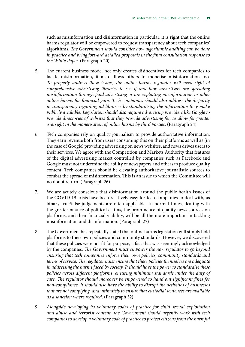such as misinformation and disinformation in particular, it is right that the online harms regulator will be empowered to request transparency about tech companies' algorithms. *The Government should consider how algorithmic auditing can be done in practice and bring forward detailed proposals in the final consultation response to the White Paper*. (Paragraph 20)

- 5. The current business model not only creates disincentives for tech companies to tackle misinformation, it also allows others to monetise misinformation too. *To properly address these issues, the online harms regulator will need sight of comprehensive advertising libraries to see if and how advertisers are spreading misinformation through paid advertising or are exploiting misinformation or other online harms for financial gain. Tech companies should also address the disparity in transparency regarding ad libraries by standardising the information they make publicly available. Legislation should also require advertising providers like Google to provide directories of websites that they provide advertising for, to allow for greater oversight in the monetisation of online harms by third parties*. (Paragraph 24)
- 6. Tech companies rely on quality journalism to provide authoritative information. They earn revenue both from users consuming this on their platforms as well as (in the case of Google) providing advertising on news websites, and news drives users to their services. We agree with the Competition and Markets Authority that features of the digital advertising market controlled by companies such as Facebook and Google must not undermine the ability of newspapers and others to produce quality content. Tech companies should be elevating authoritative journalistic sources to combat the spread of misinformation. This is an issue to which the Committee will no doubt return. (Paragraph 26)
- 7. We are acutely conscious that disinformation around the public health issues of the COVID-19 crisis have been relatively easy for tech companies to deal with, as binary true/false judgements are often applicable. In normal times, dealing with the greater nuance of political claims, the prominence of quality news sources on platforms, and their financial viability, will be all the more important in tackling misinformation and disinformation. (Paragraph 27)
- 8. The Government has repeatedly stated that online harms legislation will simply hold platforms to their own policies and community standards. However, we discovered that these policies were not fit for purpose, a fact that was seemingly acknowledged by the companies. *The Government must empower the new regulator to go beyond ensuring that tech companies enforce their own policies, community standards and terms of service. The regulator must ensure that these policies themselves are adequate in addressing the harms faced by society. It should have the power to standardise these policies across different platforms, ensuring minimum standards under the duty of care. The regulator should moreover be empowered to hand out significant fines for non-compliance. It should also have the ability to disrupt the activities of businesses that are not complying, and ultimately to ensure that custodial sentences are available as a sanction where required*. (Paragraph 32)
- 9. *Alongside developing its voluntary codes of practice for child sexual exploitation and abuse and terrorist content, the Government should urgently work with tech companies to develop a voluntary code of practice to protect citizens from the harmful*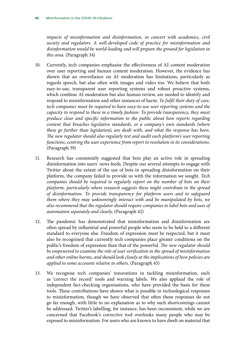impacts of misinformation and disinformation, in concert with academics, civil *society and regulators. A well-developed code of practice for misinformation and disinformation would be world-leading and will prepare the ground for legislation in this area*. (Paragraph 34)

- 10. Currently, tech companies emphasise the effectiveness of AI content moderation over user reporting and human content moderation. However, the evidence has shown that an overreliance on AI moderation has limitations, particularly as regards speech, but also often with images and video too. We believe that both easy-to-use, transparent user reporting systems and robust proactive systems, which combine AI moderation but also human review, are needed to identify and respond to misinformation and other instances of harm. *To fulfil their duty of care, tech companies must be required to have easy-to-use user reporting systems and the capacity to respond to these in a timely fashion. To provide transparency, they must produce clear and specific information to the public about how reports regarding content that breaches legislative standards, or a company's own standards (where these go further than legislation), are dealt with, and what the response has been. The new regulator should also regularly test and audit each platform's user reporting functions, centring the user experience from report to resolution in its considerations*. (Paragraph 39)
- 11. Research has consistently suggested that bots play an active role in spreading disinformation into users' news feeds. Despite our several attempts to engage with Twitter about the extent of the use of bots in spreading disinformation on their platform, the company failed to provide us with the information we sought. *Tech companies should be required to regularly report on the number of bots on their platform, particularly where research suggests these might contribute to the spread of disinformation. To provide transparency for platform users and to safeguard them where they may unknowingly interact with and be manipulated by bots, we also recommend that the regulator should require companies to label bots and uses of automation separately and clearly*. (Paragraph 42)
- 12. The pandemic has demonstrated that misinformation and disinformation are often spread by influential and powerful people who seem to be held to a different standard to everyone else. Freedom of expression must be respected, but it must also be recognised that currently tech companies place greater conditions on the public's freedom of expression than that of the powerful. *The new regulator should be empowered to examine the role of user verification in the spread of misinformation and other online harms, and should look closely at the implications of how policies are applied to some accounts relative to others*. (Paragraph 45)
- 13. We recognise tech companies' innovations in tackling misinformation, such as 'correct the record' tools and warning labels. We also applaud the role of independent fact-checking organisations, who have provided the basis for these tools. These contributions have shown what is possible in technological responses to misinformation, though we have observed that often these responses do not go far enough, with little to no explanation as to why such shortcomings cannot be addressed. Twitter's labelling, for instance, has been inconsistent, while we are concerned that Facebook's corrective tool overlooks many people who may be exposed to misinformation. For users who are known to have dwelt on material that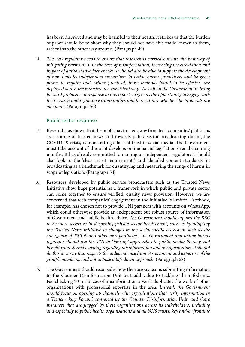has been disproved and may be harmful to their health, it strikes us that the burden of proof should be to show why they should not have this made known to them, rather than the other way around. (Paragraph 49)

14. *The new regulator needs to ensure that research is carried out into the best way of mitigating harms and, in the case of misinformation, increasing the circulation and impact of authoritative fact-checks. It should also be able to support the development of new tools by independent researchers to tackle harms proactively and be given power to require that, where practical, those methods found to be effective are deployed across the industry in a consistent way. We call on the Government to bring forward proposals in response to this report, to give us the opportunity to engage with the research and regulatory communities and to scrutinise whether the proposals are adequate*. (Paragraph 50)

#### Public sector response

- 15. Research has shown that the public has turned away from tech companies' platforms as a source of trusted news and towards public sector broadcasting during the COVID-19 crisis, demonstrating a lack of trust in social media. The Government must take account of this as it develops online harms legislation over the coming months. It has already committed to naming an independent regulator; it should also look to the 'clear set of requirements' and 'detailed content standards' in broadcasting as a benchmark for quantifying and measuring the range of harms in scope of legislation. (Paragraph 54)
- 16. Resources developed by public service broadcasters such as the Trusted News Initiative show huge potential as a framework in which public and private sector can come together to ensure verified, quality news provision. However, we are concerned that tech companies' engagement in the initiative is limited. Facebook, for example, has chosen not to provide TNI partners with accounts on WhatsApp, which could otherwise provide an independent but robust source of information of Government and public health advice. *The Government should support the BBC to be more assertive in deepening private sector involvement, such as by adapting the Trusted News Initiative to changes in the social media ecosystem such as the emergence of TikTok and other new platforms. The Government and online harms regulator should use the TNI to ' join up' approaches to public media literacy and benefit from shared learning regarding misinformation and disinformation. It should do this in a way that respects the independence from Government and expertise of the group's members, and not impose a top-down approach*. (Paragraph 58)
- 17. The Government should reconsider how the various teams submitting information to the Counter Disinformation Unit best add value to tackling the infodemic. Factchecking 70 instances of misinformation a week duplicates the work of other organisations with professional expertise in the area. *Instead, the Government should focus on opening up channels with organisations that verify information in a 'Factchecking Forum', convened by the Counter Disinformation Unit, and share instances that are flagged by these organisations across its stakeholders, including and especially to public health organisations and all NHS trusts, key and/or frontline*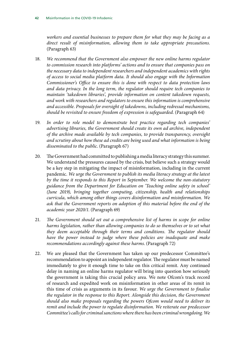*workers and essential businesses to prepare them for what they may be facing as a direct result of misinformation, allowing them to take appropriate precautions*. (Paragraph 63)

- 18. *We recommend that the Government also empower the new online harms regulator to commission research into platforms' actions and to ensure that companies pass on the necessary data to independent researchers and independent academics with rights of access to social media platform data. It should also engage with the Information Commissioner's Office to ensure this is done with respect to data protection laws and data privacy. In the long term, the regulator should require tech companies to maintain 'takedown libraries', provide information on content takedown requests, and work with researchers and regulators to ensure this information is comprehensive and accessible. Proposals for oversight of takedowns, including redressal mechanisms, should be revisited to ensure freedom of expression is safeguarded*. (Paragraph 64)
- 19. *In order to role model to demonstrate best practice regarding tech companies' advertising libraries, the Government should create its own ad archive, independent of the archive made available by tech companies, to provide transparency, oversight and scrutiny about how these ad credits are being used and what information is being disseminated to the public*. (Paragraph 67)
- 20. The Government had committed to publishing a media literacy strategy this summer. We understand the pressures caused by the crisis, but believe such a strategy would be a key step in mitigating the impact of misinformation, including in the current pandemic. *We urge the Government to publish its media literacy strategy at the latest by the time it responds to this Report in September. We welcome the non-statutory guidance from the Department for Education on 'Teaching online safety in school' (June 2019), bringing together computing, citizenship, health and relationships curricula, which among other things covers disinformation and misinformation. We ask that the Government reports on adoption of this material before the end of the academic year 2020/1*. (Paragraph 69)
- 21. *The Government should set out a comprehensive list of harms in scope for online harms legislation, rather than allowing companies to do so themselves or to set what they deem acceptable through their terms and conditions. The regulator should have the power instead to judge where these policies are inadequate and make recommendations accordingly against these harms*. (Paragraph 72)
- 22. We are pleased that the Government has taken up our predecessor Committee's recommendation to appoint an independent regulator. The regulator must be named immediately to give it enough time to take on this critical remit. Any continued delay in naming an online harms regulator will bring into question how seriously the government is taking this crucial policy area. We note Ofcom's track record of research and expedited work on misinformation in other areas of its remit in this time of crisis as arguments in its favour. *We urge the Government to finalise the regulator in the response to this Report. Alongside this decision, the Government should also make proposals regarding the powers Ofcom would need to deliver its remit and include the power to regulate disinformation. We reiterate our predecessor Committee's calls for criminal sanctions where there has been criminal wrongdoing. We*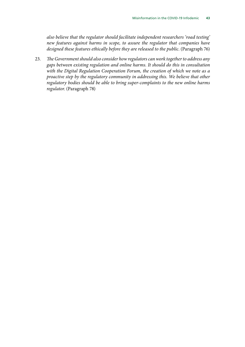*also believe that the regulator should facilitate independent researchers 'road testing' new features against harms in scope, to assure the regulator that companies have designed these features ethically before they are released to the public*. (Paragraph 76)

23. *The Government should also consider how regulators can work together to address any gaps between existing regulation and online harms. It should do this in consultation with the Digital Regulation Cooperation Forum, the creation of which we note as a proactive step by the regulatory community in addressing this. We believe that other regulatory bodies should be able to bring super-complaints to the new online harms regulator*. (Paragraph 78)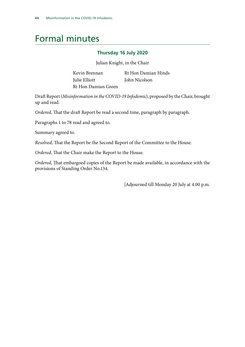# <span id="page-44-0"></span>Formal minutes

#### **Thursday 16 July 2020**

Julian Knight, in the Chair

| Kevin Brennan       | Rt Hon Damian Hinds |
|---------------------|---------------------|
| Julie Elliott       | John Nicolson       |
| Rt Hon Damian Green |                     |

Draft Report (*Misinformation in the COVID-19 Infodemic*), proposed by the Chair, brought up and read.

*Ordered*, That the draft Report be read a second time, paragraph by paragraph.

Paragraphs 1 to 78 read and agreed to.

Summary agreed to.

*Resolved*, That the Report be the Second Report of the Committee to the House.

*Ordered*, That the Chair make the Report to the House.

*Ordered*, That embargoed copies of the Report be made available, in accordance with the provisions of Standing Order No.134.

[Adjourned till Monday 20 July at 4.00 p.m.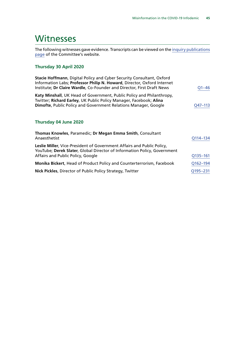# <span id="page-45-0"></span>**Witnesses**

The following witnesses gave evidence. Transcripts can be viewed on the [inquiry publications](https://committees.parliament.uk/work/232/default/publications/oral-evidence/) [page](https://committees.parliament.uk/work/232/default/publications/oral-evidence/) of the Committee's website.

# **Thursday 30 April 2020**

| Stacie Hoffmann, Digital Policy and Cyber Security Consultant, Oxford<br>Information Labs; Professor Philip N. Howard, Director, Oxford Internet<br>Institute; Dr Claire Wardle, Co-Founder and Director, First Draft News | $O1 - 46$ |
|----------------------------------------------------------------------------------------------------------------------------------------------------------------------------------------------------------------------------|-----------|
| Katy Minshall, UK Head of Government, Public Policy and Philanthropy,<br>Twitter; Richard Earley, UK Public Policy Manager, Facebook; Alina<br>Dimofte, Public Policy and Government Relations Manager, Google             | Q47-113   |

#### **Thursday 04 June 2020**

| Thomas Knowles, Paramedic; Dr Megan Emma Smith, Consultant<br>Anaesthetist                                                                                                              | Q114-134 |
|-----------------------------------------------------------------------------------------------------------------------------------------------------------------------------------------|----------|
| Leslie Miller, Vice-President of Government Affairs and Public Policy,<br>YouTube; Derek Slater, Global Director of Information Policy, Government<br>Affairs and Public Policy, Google | Q135-161 |
| Monika Bickert, Head of Product Policy and Counterterrorism, Facebook                                                                                                                   | Q162-194 |
| Nick Pickles, Director of Public Policy Strategy, Twitter                                                                                                                               | Q195-231 |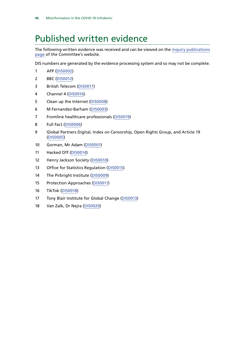# <span id="page-46-0"></span>Published written evidence

The following written evidence was received and can be viewed on the [inquiry publications](https://committees.parliament.uk/work/232/default/publications/written-evidence/) [page](https://committees.parliament.uk/work/232/default/publications/written-evidence/) of the Committee's website.

DIS numbers are generated by the evidence processing system and so may not be complete.

- AFP [\(DIS0002](https://committees.parliament.uk/writtenevidence/945/html/))
- BBC ([DIS0012\)](https://committees.parliament.uk/writtenevidence/2159/html/)
- British Telecom [\(DIS0017](https://committees.parliament.uk/writtenevidence/2896/html/))
- Channel 4 [\(DIS0016\)](https://committees.parliament.uk/writtenevidence/2592/html/)
- Clean up the Internet ([DIS0008](https://committees.parliament.uk/writtenevidence/2106/html/))
- M Fernandez-Barham ([DIS0003](https://committees.parliament.uk/writtenevidence/952/html/))
- Frontline healthcare professionals ([DIS0019\)](https://committees.parliament.uk/writtenevidence/6062/html/)
- Full Fact ([DIS0006](https://committees.parliament.uk/writtenevidence/2101/html/))
- Global Partners Digital, Index on Censorship, Open Rights Group, and Article 19 ([DIS0005\)](https://committees.parliament.uk/writtenevidence/2059/html/)
- Gorman, Mr Adam [\(DIS0001](https://committees.parliament.uk/writtenevidence/902/html/))
- Hacked Off ([DIS0014\)](https://committees.parliament.uk/writtenevidence/2206/html/)
- 12 Henry Jackson Society ([DIS0010](https://committees.parliament.uk/writtenevidence/2112/html/))
- Office for Statistics Regulation [\(DIS0015](https://committees.parliament.uk/writtenevidence/2588/html/))
- The Pirbright Institute ([DIS0009](https://committees.parliament.uk/writtenevidence/2109/default/))
- Protection Approaches ([DIS0011\)](https://committees.parliament.uk/writtenevidence/2115/html/)
- TikTok ([DIS0018](https://committees.parliament.uk/writtenevidence/5174/html/))
- Tony Blair Institute for Global Change [\(DIS0013\)](https://committees.parliament.uk/writtenevidence/2160/html/)
- Van Zalk, Dr Nejra [\(DIS0020](https://committees.parliament.uk/writtenevidence/7990/html/))